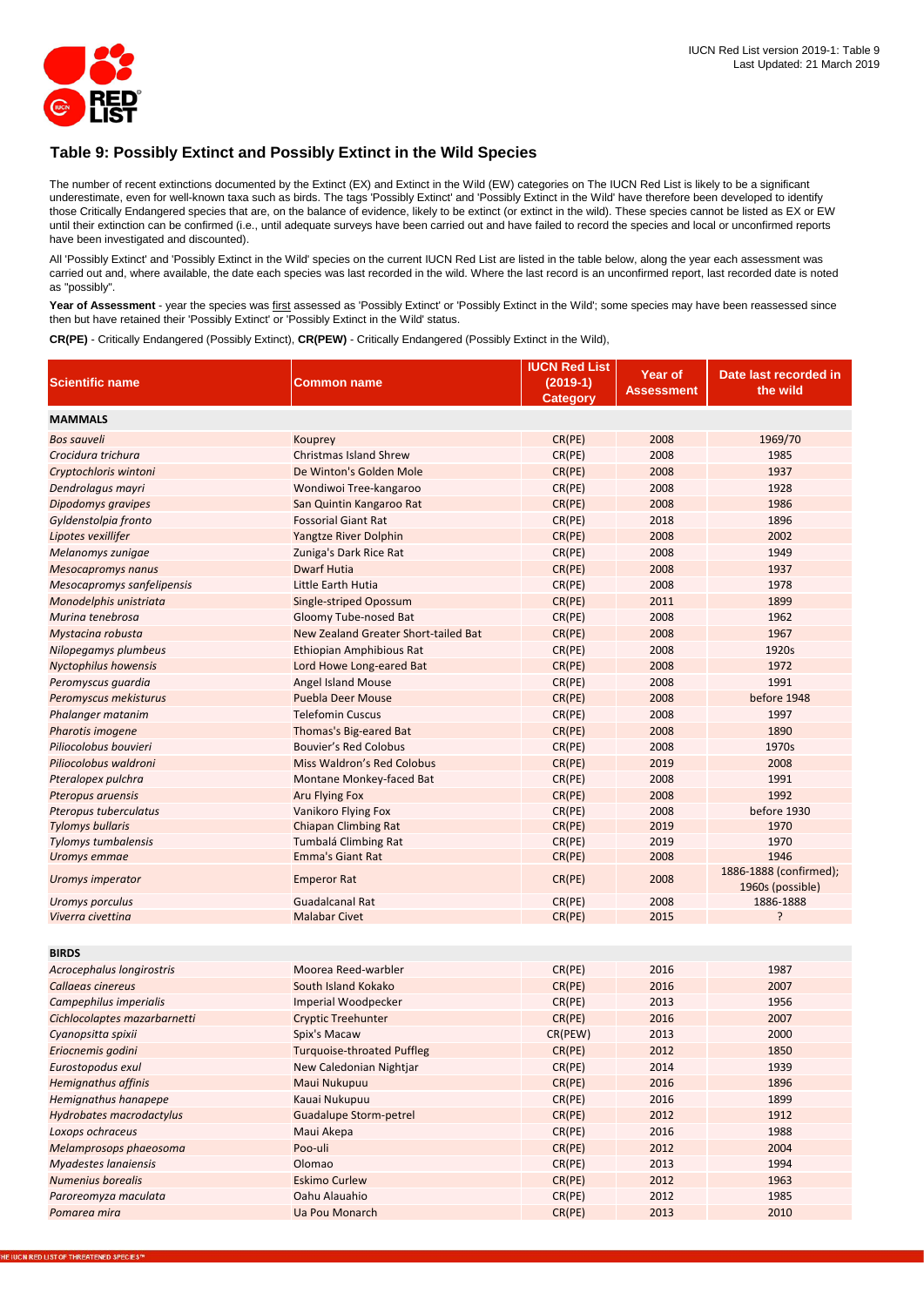

## **Table 9: Possibly Extinct and Possibly Extinct in the Wild Species**

The number of recent extinctions documented by the Extinct (EX) and Extinct in the Wild (EW) categories on The IUCN Red List is likely to be a significant underestimate, even for well-known taxa such as birds. The tags 'Possibly Extinct' and 'Possibly Extinct in the Wild' have therefore been developed to identify those Critically Endangered species that are, on the balance of evidence, likely to be extinct (or extinct in the wild). These species cannot be listed as EX or EW until their extinction can be confirmed (i.e., until adequate surveys have been carried out and have failed to record the species and local or unconfirmed reports have been investigated and discounted).

All 'Possibly Extinct' and 'Possibly Extinct in the Wild' species on the current IUCN Red List are listed in the table below, along the year each assessment was carried out and, where available, the date each species was last recorded in the wild. Where the last record is an unconfirmed report, last recorded date is noted as "possibly".

Year of Assessment - year the species was first assessed as 'Possibly Extinct' or 'Possibly Extinct in the Wild'; some species may have been reassessed since then but have retained their 'Possibly Extinct' or 'Possibly Extinct in the Wild' status.

**CR(PE)** - Critically Endangered (Possibly Extinct), **CR(PEW)** - Critically Endangered (Possibly Extinct in the Wild),

|                                     |                                                               | <b>IUCN Red List</b> |              |                        |
|-------------------------------------|---------------------------------------------------------------|----------------------|--------------|------------------------|
| <b>Scientific name</b>              | <b>Common name</b>                                            | $(2019-1)$           | Year of      | Date last recorded in  |
|                                     |                                                               | <b>Category</b>      | Assessment   | the wild               |
| <b>MAMMALS</b>                      |                                                               |                      |              |                        |
| <b>Bos sauveli</b>                  | Kouprey                                                       | CR(PE)               | 2008         | 1969/70                |
| Crocidura trichura                  | <b>Christmas Island Shrew</b>                                 | CR(PE)               | 2008         | 1985                   |
| Cryptochloris wintoni               | De Winton's Golden Mole                                       | CR(PE)               | 2008         | 1937                   |
| Dendrolagus mayri                   | Wondiwoi Tree-kangaroo                                        | CR(PE)               | 2008         | 1928                   |
| Dipodomys gravipes                  | San Quintin Kangaroo Rat                                      | CR(PE)               | 2008         | 1986                   |
| Gyldenstolpia fronto                | <b>Fossorial Giant Rat</b>                                    | CR(PE)               | 2018         | 1896                   |
| Lipotes vexillifer                  | <b>Yangtze River Dolphin</b>                                  | CR(PE)               | 2008         | 2002                   |
| Melanomys zunigae                   | Zuniga's Dark Rice Rat                                        | CR(PE)               | 2008         | 1949                   |
| <b>Mesocapromys nanus</b>           | <b>Dwarf Hutia</b>                                            | CR(PE)               | 2008         | 1937                   |
| Mesocapromys sanfelipensis          | Little Earth Hutia                                            | CR(PE)               | 2008         | 1978                   |
| Monodelphis unistriata              |                                                               | CR(PE)               | 2011         | 1899                   |
| Murina tenebrosa                    | Single-striped Opossum                                        |                      | 2008         | 1962                   |
|                                     | Gloomy Tube-nosed Bat<br>New Zealand Greater Short-tailed Bat | CR(PE)<br>CR(PE)     | 2008         | 1967                   |
| Mystacina robusta                   |                                                               |                      | 2008         |                        |
| Nilopegamys plumbeus                | Ethiopian Amphibious Rat                                      | CR(PE)               |              | 1920s<br>1972          |
| <b>Nyctophilus howensis</b>         | Lord Howe Long-eared Bat                                      | CR(PE)               | 2008<br>2008 | 1991                   |
| Peromyscus guardia                  | <b>Angel Island Mouse</b>                                     | CR(PE)               |              |                        |
| Peromyscus mekisturus               | <b>Puebla Deer Mouse</b>                                      | CR(PE)               | 2008         | before 1948            |
| Phalanger matanim                   | <b>Telefomin Cuscus</b>                                       | CR(PE)               | 2008         | 1997                   |
| Pharotis imogene                    | Thomas's Big-eared Bat                                        | CR(PE)               | 2008         | 1890                   |
| Piliocolobus bouvieri               | <b>Bouvier's Red Colobus</b>                                  | CR(PE)               | 2008         | 1970s                  |
| Piliocolobus waldroni               | Miss Waldron's Red Colobus                                    | CR(PE)               | 2019         | 2008                   |
| Pteralopex pulchra                  | Montane Monkey-faced Bat                                      | CR(PE)               | 2008         | 1991                   |
| Pteropus aruensis                   | <b>Aru Flying Fox</b>                                         | CR(PE)               | 2008         | 1992                   |
| Pteropus tuberculatus               | Vanikoro Flying Fox                                           | CR(PE)               | 2008         | before 1930            |
| <b>Tylomys bullaris</b>             | <b>Chiapan Climbing Rat</b>                                   | CR(PE)               | 2019<br>2019 | 1970<br>1970           |
| Tylomys tumbalensis<br>Uromys emmae | Tumbalá Climbing Rat<br><b>Emma's Giant Rat</b>               | CR(PE)<br>CR(PE)     | 2008         | 1946                   |
|                                     |                                                               |                      |              | 1886-1888 (confirmed); |
| Uromys imperator                    | <b>Emperor Rat</b>                                            | CR(PE)               | 2008         | 1960s (possible)       |
| Uromys porculus                     | <b>Guadalcanal Rat</b>                                        | CR(PE)               | 2008         | 1886-1888              |
| Viverra civettina                   | <b>Malabar Civet</b>                                          | CR(PE)               | 2015         | ς                      |
|                                     |                                                               |                      |              |                        |
| <b>BIRDS</b>                        |                                                               |                      |              |                        |
| Acrocephalus longirostris           | Moorea Reed-warbler                                           | CR(PE)               | 2016         | 1987                   |
| Callaeas cinereus                   | South Island Kokako                                           | CR(PE)               | 2016         | 2007                   |
| Campephilus imperialis              | Imperial Woodpecker                                           | CR(PE)               | 2013         | 1956                   |
| Cichlocolaptes mazarbarnetti        | <b>Cryptic Treehunter</b>                                     | CR(PE)               | 2016         | 2007                   |
| Cyanopsitta spixii                  | Spix's Macaw                                                  | CR(PEW)              | 2013         | 2000                   |
| Eriocnemis godini                   | <b>Turquoise-throated Puffleg</b>                             | CR(PE)               | 2012         | 1850                   |
| Eurostopodus exul                   | New Caledonian Nightjar                                       | CR(PE)               | 2014         | 1939                   |
| <b>Hemignathus affinis</b>          | Maui Nukupuu                                                  | CR(PE)               | 2016         | 1896                   |
| Hemignathus hanapepe                | Kauai Nukupuu                                                 | CR(PE)               | 2016         | 1899                   |
| <b>Hydrobates macrodactylus</b>     | <b>Guadalupe Storm-petrel</b>                                 | CR(PE)               | 2012         | 1912                   |
| Loxops ochraceus                    | Maui Akepa                                                    | CR(PE)               | 2016         | 1988                   |
| Melamprosops phaeosoma              | Poo-uli                                                       | CR(PE)               | 2012         | 2004                   |
| Myadestes lanaiensis                | Olomao                                                        | CR(PE)               | 2013         | 1994                   |
| Numenius borealis                   | <b>Eskimo Curlew</b>                                          | CR(PE)               | 2012         | 1963                   |
| Paroreomyza maculata                | Oahu Alauahio                                                 | CR(PE)               | 2012         | 1985                   |
| Pomarea mira                        | Ua Pou Monarch                                                | CR(PE)               | 2013         | 2010                   |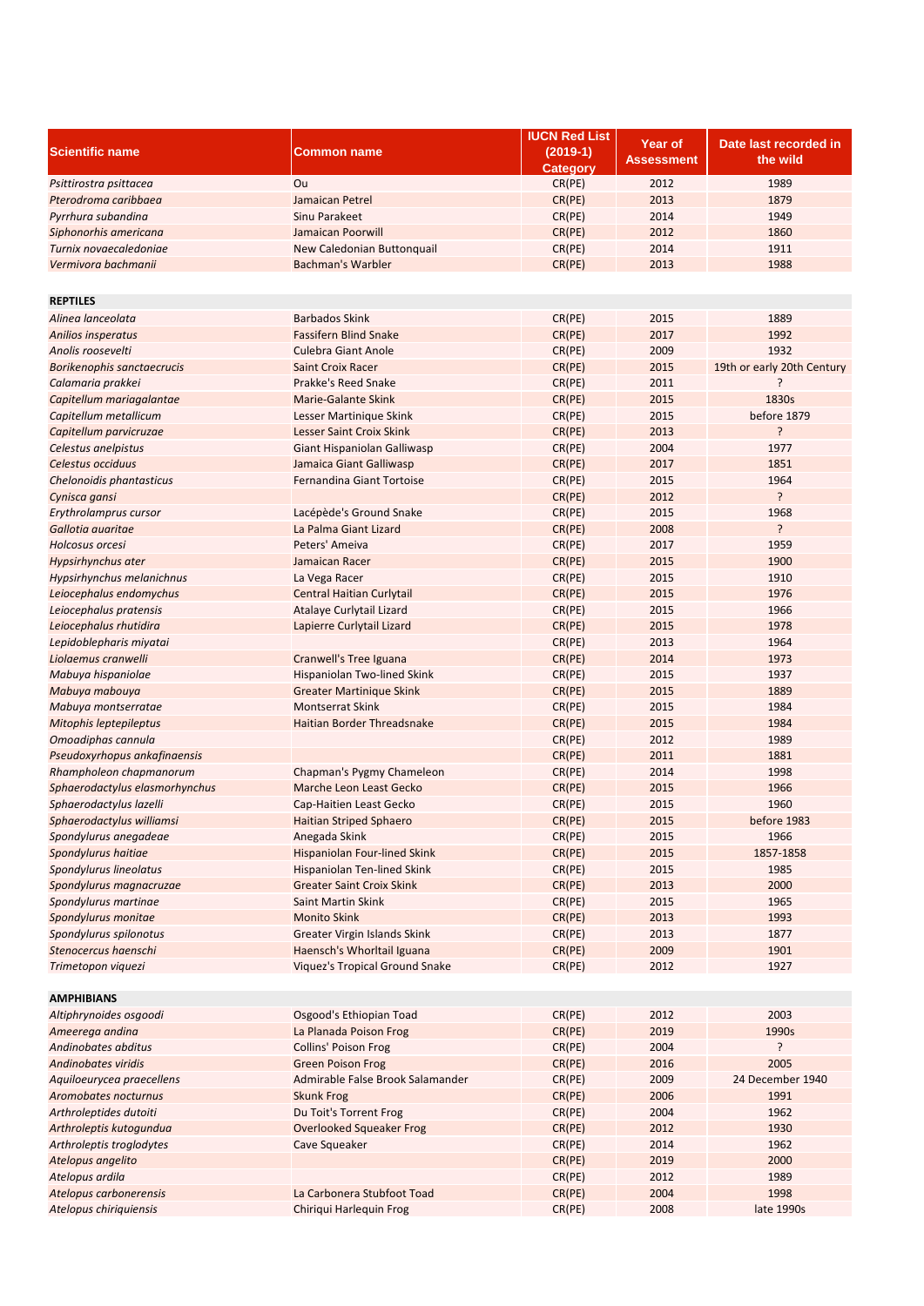|                                |                                       | <b>IUCN Red List</b>          |                              |                                   |
|--------------------------------|---------------------------------------|-------------------------------|------------------------------|-----------------------------------|
| <b>Scientific name</b>         | Common name                           | $(2019-1)$<br><b>Category</b> | Year of<br><b>Assessment</b> | Date last recorded in<br>the wild |
| Psittirostra psittacea         | Ou                                    | CR(PE)                        | 2012                         | 1989                              |
| Pterodroma caribbaea           | Jamaican Petrel                       | CR(PE)                        | 2013                         | 1879                              |
| Pyrrhura subandina             | Sinu Parakeet                         | CR(PE)                        | 2014                         | 1949                              |
| Siphonorhis americana          | Jamaican Poorwill                     | CR(PE)                        | 2012                         | 1860                              |
| Turnix novaecaledoniae         | New Caledonian Buttonquail            | CR(PE)                        | 2014                         | 1911                              |
| Vermivora bachmanii            | <b>Bachman's Warbler</b>              | CR(PE)                        | 2013                         | 1988                              |
|                                |                                       |                               |                              |                                   |
| <b>REPTILES</b>                |                                       |                               |                              |                                   |
| Alinea lanceolata              | <b>Barbados Skink</b>                 | CR(PE)                        | 2015                         | 1889                              |
| <b>Anilios insperatus</b>      | <b>Fassifern Blind Snake</b>          | CR(PE)                        | 2017                         | 1992                              |
| Anolis roosevelti              | <b>Culebra Giant Anole</b>            | CR(PE)                        | 2009                         | 1932                              |
| Borikenophis sanctaecrucis     | <b>Saint Croix Racer</b>              | CR(PE)                        | 2015                         | 19th or early 20th Century        |
| Calamaria prakkei              | Prakke's Reed Snake                   | CR(PE)                        | 2011                         | ?                                 |
| Capitellum mariagalantae       | <b>Marie-Galante Skink</b>            | CR(PE)                        | 2015                         | 1830s                             |
| Capitellum metallicum          | Lesser Martinique Skink               | CR(PE)                        | 2015                         | before 1879                       |
| Capitellum parvicruzae         | Lesser Saint Croix Skink              | CR(PE)                        | 2013                         | <sup>2</sup>                      |
| Celestus anelpistus            | Giant Hispaniolan Galliwasp           | CR(PE)                        | 2004                         | 1977                              |
| Celestus occiduus              | Jamaica Giant Galliwasp               | CR(PE)                        | 2017                         | 1851                              |
| Chelonoidis phantasticus       | Fernandina Giant Tortoise             | CR(PE)                        | 2015                         | 1964                              |
| Cynisca gansi                  |                                       | CR(PE)                        | 2012                         | ?                                 |
| Erythrolamprus cursor          | Lacépède's Ground Snake               | CR(PE)                        | 2015                         | 1968                              |
| Gallotia auaritae              | La Palma Giant Lizard                 | CR(PE)                        | 2008                         | ŗ                                 |
| Holcosus orcesi                | Peters' Ameiva                        | CR(PE)                        | 2017                         | 1959                              |
| Hypsirhynchus ater             | Jamaican Racer                        | CR(PE)                        | 2015                         | 1900                              |
| Hypsirhynchus melanichnus      | La Vega Racer                         | CR(PE)                        | 2015                         | 1910                              |
| Leiocephalus endomychus        | <b>Central Haitian Curlytail</b>      | CR(PE)                        | 2015                         | 1976                              |
| Leiocephalus pratensis         | Atalaye Curlytail Lizard              | CR(PE)                        | 2015                         | 1966                              |
| Leiocephalus rhutidira         | Lapierre Curlytail Lizard             | CR(PE)                        | 2015                         | 1978                              |
| Lepidoblepharis miyatai        |                                       | CR(PE)                        | 2013                         | 1964                              |
| Liolaemus cranwelli            | Cranwell's Tree Iguana                | CR(PE)                        | 2014                         | 1973                              |
| Mabuya hispaniolae             | Hispaniolan Two-lined Skink           | CR(PE)                        | 2015                         | 1937                              |
| Mabuya mabouya                 | <b>Greater Martinique Skink</b>       | CR(PE)                        | 2015                         | 1889                              |
| Mabuya montserratae            | <b>Montserrat Skink</b>               | CR(PE)                        | 2015                         | 1984                              |
| Mitophis leptepileptus         | Haitian Border Threadsnake            | CR(PE)                        | 2015                         | 1984                              |
| Omoadiphas cannula             |                                       | CR(PE)                        | 2012                         | 1989                              |
| Pseudoxyrhopus ankafinaensis   |                                       | CR(PE)                        | 2011                         | 1881                              |
| Rhampholeon chapmanorum        | Chapman's Pygmy Chameleon             | CR(PE)                        | 2014                         | 1998                              |
| Sphaerodactylus elasmorhynchus | Marche Leon Least Gecko               | CR(PE)                        | 2015                         | 1966                              |
| Sphaerodactylus lazelli        | Cap-Haitien Least Gecko               | CR(PE)                        | 2015                         | 1960                              |
| Sphaerodactylus williamsi      | <b>Haitian Striped Sphaero</b>        | CR(PE)                        | 2015                         | before 1983                       |
| Spondylurus anegadeae          | Anegada Skink                         | CR(PE)                        | 2015                         | 1966                              |
| Spondylurus haitiae            | <b>Hispaniolan Four-lined Skink</b>   | CR(PE)                        | 2015                         | 1857-1858                         |
| Spondylurus lineolatus         | Hispaniolan Ten-lined Skink           | CR(PE)                        | 2015                         | 1985                              |
| Spondylurus magnacruzae        | <b>Greater Saint Croix Skink</b>      | CR(PE)                        | 2013                         | 2000                              |
| Spondylurus martinae           | <b>Saint Martin Skink</b>             | CR(PE)                        | 2015                         | 1965                              |
| Spondylurus monitae            | <b>Monito Skink</b>                   | CR(PE)                        | 2013                         | 1993                              |
| Spondylurus spilonotus         | Greater Virgin Islands Skink          | CR(PE)                        | 2013                         | 1877                              |
| Stenocercus haenschi           | Haensch's Whorltail Iguana            | CR(PE)                        | 2009                         | 1901                              |
| Trimetopon viquezi             | <b>Viquez's Tropical Ground Snake</b> | CR(PE)                        | 2012                         | 1927                              |
|                                |                                       |                               |                              |                                   |
| <b>AMPHIBIANS</b>              |                                       |                               |                              |                                   |
| Altiphrynoides osgoodi         | Osgood's Ethiopian Toad               | CR(PE)                        | 2012                         | 2003                              |
| Ameerega andina                | La Planada Poison Frog                | CR(PE)                        | 2019                         | 1990s                             |
| Andinobates abditus            | <b>Collins' Poison Frog</b>           | CR(PE)                        | 2004                         | ŗ                                 |
| Andinobates viridis            | <b>Green Poison Frog</b>              | CR(PE)                        | 2016                         | 2005                              |
| Aquiloeurycea praecellens      | Admirable False Brook Salamander      | CR(PE)                        | 2009                         | 24 December 1940                  |
| Aromobates nocturnus           | <b>Skunk Frog</b>                     | CR(PE)                        | 2006                         | 1991                              |
| Arthroleptides dutoiti         | Du Toit's Torrent Frog                | CR(PE)                        | 2004                         | 1962                              |
| Arthroleptis kutogundua        | <b>Overlooked Squeaker Frog</b>       | CR(PE)                        | 2012                         | 1930                              |
| Arthroleptis troglodytes       | Cave Squeaker                         | CR(PE)                        | 2014                         | 1962                              |
| Atelopus angelito              |                                       | CR(PE)                        | 2019                         | 2000                              |
| Atelopus ardila                |                                       | CR(PE)                        | 2012                         | 1989                              |
| Atelopus carbonerensis         | La Carbonera Stubfoot Toad            | CR(PE)                        | 2004                         | 1998                              |
| Atelopus chiriquiensis         | Chiriqui Harlequin Frog               | CR(PE)                        | 2008                         | late 1990s                        |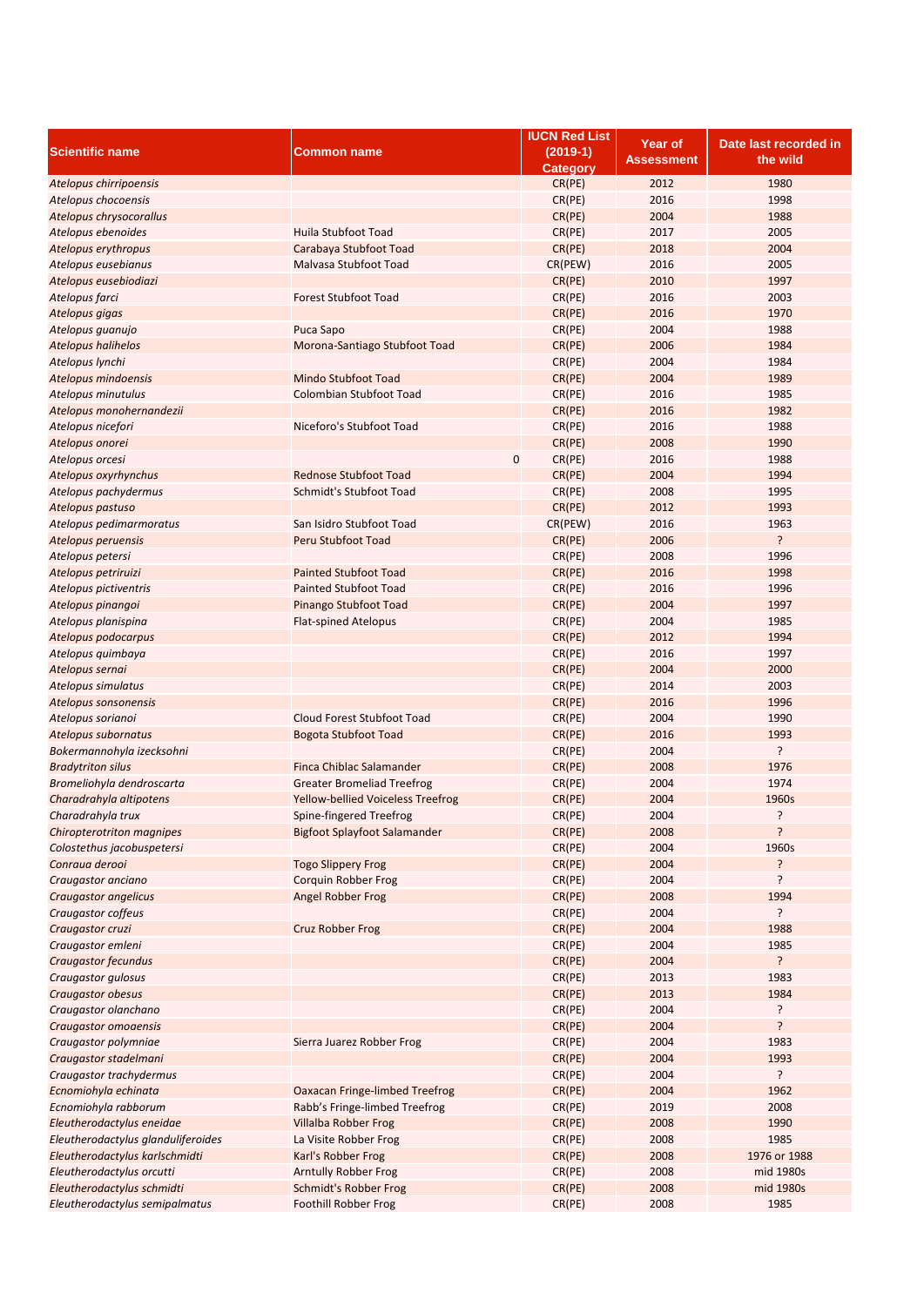|                                    |                                          | <b>IUCN Red List</b> | <b>Year of</b> | Date last recorded in |
|------------------------------------|------------------------------------------|----------------------|----------------|-----------------------|
| <b>Scientific name</b>             | <b>Common name</b>                       | $(2019-1)$           |                | the wild              |
|                                    |                                          | <b>Category</b>      | Assessment     |                       |
| Atelopus chirripoensis             |                                          | CR(PE)               | 2012           | 1980                  |
| Atelopus chocoensis                |                                          | CR(PE)               | 2016           | 1998                  |
| Atelopus chrysocorallus            |                                          | CR(PE)               | 2004           | 1988                  |
| Atelopus ebenoides                 | Huila Stubfoot Toad                      | CR(PE)               | 2017           | 2005                  |
| Atelopus erythropus                | Carabaya Stubfoot Toad                   | CR(PE)               | 2018           | 2004                  |
|                                    | Malvasa Stubfoot Toad                    | CR(PEW)              | 2016           | 2005                  |
| Atelopus eusebianus                |                                          |                      |                |                       |
| Atelopus eusebiodiazi              |                                          | CR(PE)               | 2010           | 1997                  |
| Atelopus farci                     | <b>Forest Stubfoot Toad</b>              | CR(PE)               | 2016           | 2003                  |
| Atelopus gigas                     |                                          | CR(PE)               | 2016           | 1970                  |
| Atelopus guanujo                   | Puca Sapo                                | CR(PE)               | 2004           | 1988                  |
| <b>Atelopus halihelos</b>          | Morona-Santiago Stubfoot Toad            | CR(PE)               | 2006           | 1984                  |
| Atelopus lynchi                    |                                          | CR(PE)               | 2004           | 1984                  |
| Atelopus mindoensis                | Mindo Stubfoot Toad                      | CR(PE)               | 2004           | 1989                  |
| Atelopus minutulus                 | Colombian Stubfoot Toad                  | CR(PE)               | 2016           | 1985                  |
| Atelopus monohernandezii           |                                          | CR(PE)               | 2016           | 1982                  |
| Atelopus nicefori                  | Niceforo's Stubfoot Toad                 | CR(PE)               | 2016           | 1988                  |
|                                    |                                          | CR(PE)               | 2008           | 1990                  |
| Atelopus onorei                    |                                          |                      |                |                       |
| Atelopus orcesi                    | 0                                        | CR(PE)               | 2016           | 1988                  |
| Atelopus oxyrhynchus               | <b>Rednose Stubfoot Toad</b>             | CR(PE)               | 2004           | 1994                  |
| Atelopus pachydermus               | Schmidt's Stubfoot Toad                  | CR(PE)               | 2008           | 1995                  |
| Atelopus pastuso                   |                                          | CR(PE)               | 2012           | 1993                  |
| Atelopus pedimarmoratus            | San Isidro Stubfoot Toad                 | CR(PEW)              | 2016           | 1963                  |
| Atelopus peruensis                 | Peru Stubfoot Toad                       | CR(PE)               | 2006           | ?                     |
| Atelopus petersi                   |                                          | CR(PE)               | 2008           | 1996                  |
| Atelopus petriruizi                | <b>Painted Stubfoot Toad</b>             | CR(PE)               | 2016           | 1998                  |
| Atelopus pictiventris              | <b>Painted Stubfoot Toad</b>             | CR(PE)               | 2016           | 1996                  |
| Atelopus pinangoi                  | Pinango Stubfoot Toad                    | CR(PE)               | 2004           | 1997                  |
|                                    |                                          |                      | 2004           | 1985                  |
| Atelopus planispina                | <b>Flat-spined Atelopus</b>              | CR(PE)               |                |                       |
| Atelopus podocarpus                |                                          | CR(PE)               | 2012           | 1994                  |
| Atelopus quimbaya                  |                                          | CR(PE)               | 2016           | 1997                  |
| Atelopus sernai                    |                                          | CR(PE)               | 2004           | 2000                  |
| Atelopus simulatus                 |                                          | CR(PE)               | 2014           | 2003                  |
| Atelopus sonsonensis               |                                          | CR(PE)               | 2016           | 1996                  |
| Atelopus sorianoi                  | Cloud Forest Stubfoot Toad               | CR(PE)               | 2004           | 1990                  |
| Atelopus subornatus                | <b>Bogota Stubfoot Toad</b>              | CR(PE)               | 2016           | 1993                  |
| Bokermannohyla izecksohni          |                                          | CR(PE)               | 2004           | ŗ                     |
| <b>Bradytriton silus</b>           | Finca Chiblac Salamander                 | CR(PE)               | 2008           | 1976                  |
| Bromeliohyla dendroscarta          | <b>Greater Bromeliad Treefrog</b>        | CR(PE)               | 2004           | 1974                  |
|                                    |                                          |                      |                |                       |
| Charadrahyla altipotens            | <b>Yellow-bellied Voiceless Treefrog</b> | CR(PE)               | 2004           | 1960s                 |
| Charadrahyla trux                  | Spine-fingered Treefrog                  | CR(PE)               | 2004           | ŗ                     |
| <b>Chiropterotriton magnipes</b>   | Bigfoot Splayfoot Salamander             | CR(PE)               | 2008           | ?                     |
| Colostethus jacobuspetersi         |                                          | CR(PE)               | 2004           | 1960s                 |
| Conraua derooi                     | <b>Togo Slippery Frog</b>                | CR(PE)               | 2004           | ŗ                     |
| Craugastor anciano                 | Corquin Robber Frog                      | CR(PE)               | 2004           | ŗ                     |
| Craugastor angelicus               | <b>Angel Robber Frog</b>                 | CR(PE)               | 2008           | 1994                  |
| Craugastor coffeus                 |                                          | CR(PE)               | 2004           | ŗ                     |
| Craugastor cruzi                   | Cruz Robber Frog                         | CR(PE)               | 2004           | 1988                  |
| Craugastor emleni                  |                                          | CR(PE)               | 2004           | 1985                  |
| <b>Craugastor fecundus</b>         |                                          |                      |                | ?                     |
|                                    |                                          | CR(PE)               | 2004           |                       |
| Craugastor gulosus                 |                                          | CR(PE)               | 2013           | 1983                  |
| Craugastor obesus                  |                                          | CR(PE)               | 2013           | 1984                  |
| Craugastor olanchano               |                                          | CR(PE)               | 2004           | ŗ                     |
| Craugastor omoaensis               |                                          | CR(PE)               | 2004           | ?                     |
| Craugastor polymniae               | Sierra Juarez Robber Frog                | CR(PE)               | 2004           | 1983                  |
| Craugastor stadelmani              |                                          | CR(PE)               | 2004           | 1993                  |
| Craugastor trachydermus            |                                          | CR(PE)               | 2004           | ŗ                     |
| Ecnomiohyla echinata               | Oaxacan Fringe-limbed Treefrog           | CR(PE)               | 2004           | 1962                  |
| Ecnomiohyla rabborum               | Rabb's Fringe-limbed Treefrog            | CR(PE)               | 2019           | 2008                  |
|                                    |                                          | CR(PE)               | 2008           | 1990                  |
| Eleutherodactylus eneidae          | Villalba Robber Frog                     |                      |                |                       |
| Eleutherodactylus glanduliferoides | La Visite Robber Frog                    | CR(PE)               | 2008           | 1985                  |
| Eleutherodactylus karlschmidti     | Karl's Robber Frog                       | CR(PE)               | 2008           | 1976 or 1988          |
| Eleutherodactylus orcutti          | <b>Arntully Robber Frog</b>              | CR(PE)               | 2008           | mid 1980s             |
| Eleutherodactylus schmidti         | Schmidt's Robber Frog                    | CR(PE)               | 2008           | mid 1980s             |
| Eleutherodactylus semipalmatus     | Foothill Robber Frog                     | CR(PE)               | 2008           | 1985                  |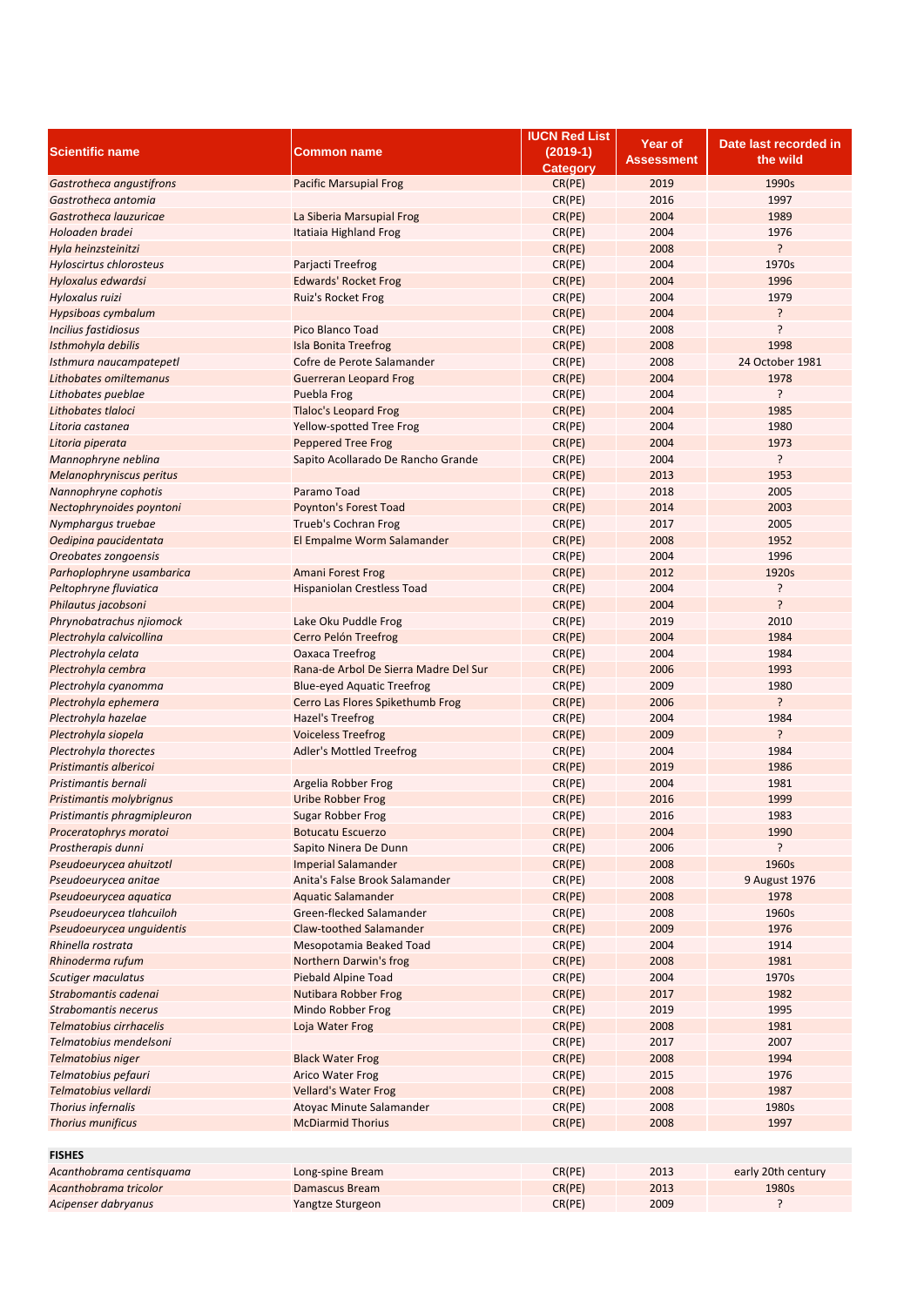|                             |                                       | <b>IUCN Red List</b> | Year of           | Date last recorded in |
|-----------------------------|---------------------------------------|----------------------|-------------------|-----------------------|
| <b>Scientific name</b>      | Common name                           | $(2019-1)$           | <b>Assessment</b> | the wild              |
|                             |                                       | <b>Category</b>      |                   |                       |
| Gastrotheca angustifrons    | <b>Pacific Marsupial Frog</b>         | CR(PE)               | 2019              | 1990s                 |
| Gastrotheca antomia         |                                       | CR(PE)               | 2016              | 1997                  |
| Gastrotheca lauzuricae      | La Siberia Marsupial Frog             | CR(PE)               | 2004              | 1989                  |
| Holoaden bradei             | Itatiaia Highland Frog                | CR(PE)               | 2004              | 1976                  |
| Hyla heinzsteinitzi         |                                       | CR(PE)               | 2008              | ?                     |
| Hyloscirtus chlorosteus     | Parjacti Treefrog                     | CR(PE)               | 2004              | 1970s                 |
| Hyloxalus edwardsi          | <b>Edwards' Rocket Frog</b>           | CR(PE)               | 2004              | 1996                  |
| Hyloxalus ruizi             | <b>Ruiz's Rocket Frog</b>             | CR(PE)               | 2004              | 1979                  |
| Hypsiboas cymbalum          |                                       | CR(PE)               | 2004              | ŗ                     |
| Incilius fastidiosus        | Pico Blanco Toad                      | CR(PE)               | 2008              | ŗ                     |
| Isthmohyla debilis          | <b>Isla Bonita Treefrog</b>           | CR(PE)               | 2008              | 1998                  |
| Isthmura naucampatepetl     | Cofre de Perote Salamander            | CR(PE)               | 2008              | 24 October 1981       |
| Lithobates omiltemanus      | <b>Guerreran Leopard Frog</b>         | CR(PE)               | 2004              | 1978                  |
| Lithobates pueblae          | Puebla Frog                           | CR(PE)               | 2004              | ŗ                     |
| Lithobates tlaloci          | <b>Tlaloc's Leopard Frog</b>          | CR(PE)               | 2004              | 1985                  |
| Litoria castanea            | Yellow-spotted Tree Frog              | CR(PE)               | 2004              | 1980                  |
| Litoria piperata            | <b>Peppered Tree Frog</b>             | CR(PE)               | 2004              | 1973                  |
| Mannophryne neblina         | Sapito Acollarado De Rancho Grande    | CR(PE)               | 2004              | ?                     |
| Melanophryniscus peritus    |                                       | CR(PE)               | 2013              | 1953                  |
| Nannophryne cophotis        | Paramo Toad                           | CR(PE)               | 2018              | 2005                  |
| Nectophrynoides poyntoni    | Poynton's Forest Toad                 | CR(PE)               | 2014              | 2003                  |
| Nymphargus truebae          | Trueb's Cochran Frog                  | CR(PE)               | 2017              | 2005                  |
| Oedipina paucidentata       | El Empalme Worm Salamander            | CR(PE)               | 2008              | 1952                  |
| Oreobates zongoensis        |                                       | CR(PE)               | 2004              | 1996                  |
| Parhoplophryne usambarica   | <b>Amani Forest Frog</b>              | CR(PE)               | 2012              | 1920s                 |
| Peltophryne fluviatica      | Hispaniolan Crestless Toad            | CR(PE)               | 2004              | ŗ                     |
| Philautus jacobsoni         |                                       | CR(PE)               | 2004              | ?                     |
| Phrynobatrachus njiomock    | Lake Oku Puddle Frog                  | CR(PE)               | 2019              | 2010                  |
| Plectrohyla calvicollina    | Cerro Pelón Treefrog                  | CR(PE)               | 2004              | 1984                  |
| Plectrohyla celata          | Oaxaca Treefrog                       | CR(PE)               | 2004              | 1984                  |
| Plectrohyla cembra          | Rana-de Arbol De Sierra Madre Del Sur | CR(PE)               | 2006              | 1993                  |
| Plectrohyla cyanomma        | <b>Blue-eyed Aquatic Treefrog</b>     | CR(PE)               | 2009              | 1980                  |
| Plectrohyla ephemera        | Cerro Las Flores Spikethumb Frog      | CR(PE)               | 2006              | ŗ                     |
| Plectrohyla hazelae         | Hazel's Treefrog                      | CR(PE)               | 2004              | 1984                  |
| Plectrohyla siopela         | <b>Voiceless Treefrog</b>             | CR(PE)               | 2009              | ŗ                     |
| Plectrohyla thorectes       |                                       | CR(PE)               | 2004              | 1984                  |
| Pristimantis albericoi      | Adler's Mottled Treefrog              | CR(PE)               | 2019              | 1986                  |
| Pristimantis bernali        |                                       |                      | 2004              | 1981                  |
|                             | Argelia Robber Frog                   | CR(PE)               | 2016              | 1999                  |
| Pristimantis molybrignus    | Uribe Robber Frog                     | CR(PE)               |                   |                       |
| Pristimantis phragmipleuron | Sugar Robber Frog                     | CR(PE)               | 2016              | 1983                  |
| Proceratophrys moratoi      | <b>Botucatu Escuerzo</b>              | CR(PE)               | 2004              | 1990                  |
| Prostherapis dunni          | Sapito Ninera De Dunn                 | CR(PE)               | 2006              | ŗ                     |
| Pseudoeurycea ahuitzotl     | <b>Imperial Salamander</b>            | CR(PE)               | 2008              | 1960s                 |
| Pseudoeurycea anitae        | Anita's False Brook Salamander        | CR(PE)               | 2008              | 9 August 1976         |
| Pseudoeurycea aquatica      | <b>Aquatic Salamander</b>             | CR(PE)               | 2008              | 1978                  |
| Pseudoeurycea tlahcuiloh    | Green-flecked Salamander              | CR(PE)               | 2008              | 1960s                 |
| Pseudoeurycea unquidentis   | Claw-toothed Salamander               | CR(PE)               | 2009              | 1976                  |
| Rhinella rostrata           | Mesopotamia Beaked Toad               | CR(PE)               | 2004              | 1914                  |
| Rhinoderma rufum            | Northern Darwin's frog                | CR(PE)               | 2008              | 1981                  |
| Scutiger maculatus          | Piebald Alpine Toad                   | CR(PE)               | 2004              | 1970s                 |
| Strabomantis cadenai        | Nutibara Robber Frog                  | CR(PE)               | 2017              | 1982                  |
| Strabomantis necerus        | Mindo Robber Frog                     | CR(PE)               | 2019              | 1995                  |
| Telmatobius cirrhacelis     | Loja Water Frog                       | CR(PE)               | 2008              | 1981                  |
| Telmatobius mendelsoni      |                                       | CR(PE)               | 2017              | 2007                  |
| Telmatobius niger           | <b>Black Water Frog</b>               | CR(PE)               | 2008              | 1994                  |
| Telmatobius pefauri         | <b>Arico Water Frog</b>               | CR(PE)               | 2015              | 1976                  |
| Telmatobius vellardi        | <b>Vellard's Water Frog</b>           | CR(PE)               | 2008              | 1987                  |
| Thorius infernalis          | Atoyac Minute Salamander              | CR(PE)               | 2008              | 1980s                 |
| Thorius munificus           | <b>McDiarmid Thorius</b>              | CR(PE)               | 2008              | 1997                  |
|                             |                                       |                      |                   |                       |
| <b>FISHES</b>               |                                       |                      |                   |                       |
| Acanthobrama centisquama    | Long-spine Bream                      | CR(PE)               | 2013              | early 20th century    |
| Acanthobrama tricolor       | <b>Damascus Bream</b>                 | CR(PE)               | 2013              | 1980s                 |
| Acipenser dabryanus         | Yangtze Sturgeon                      | CR(PE)               | 2009              | ŗ                     |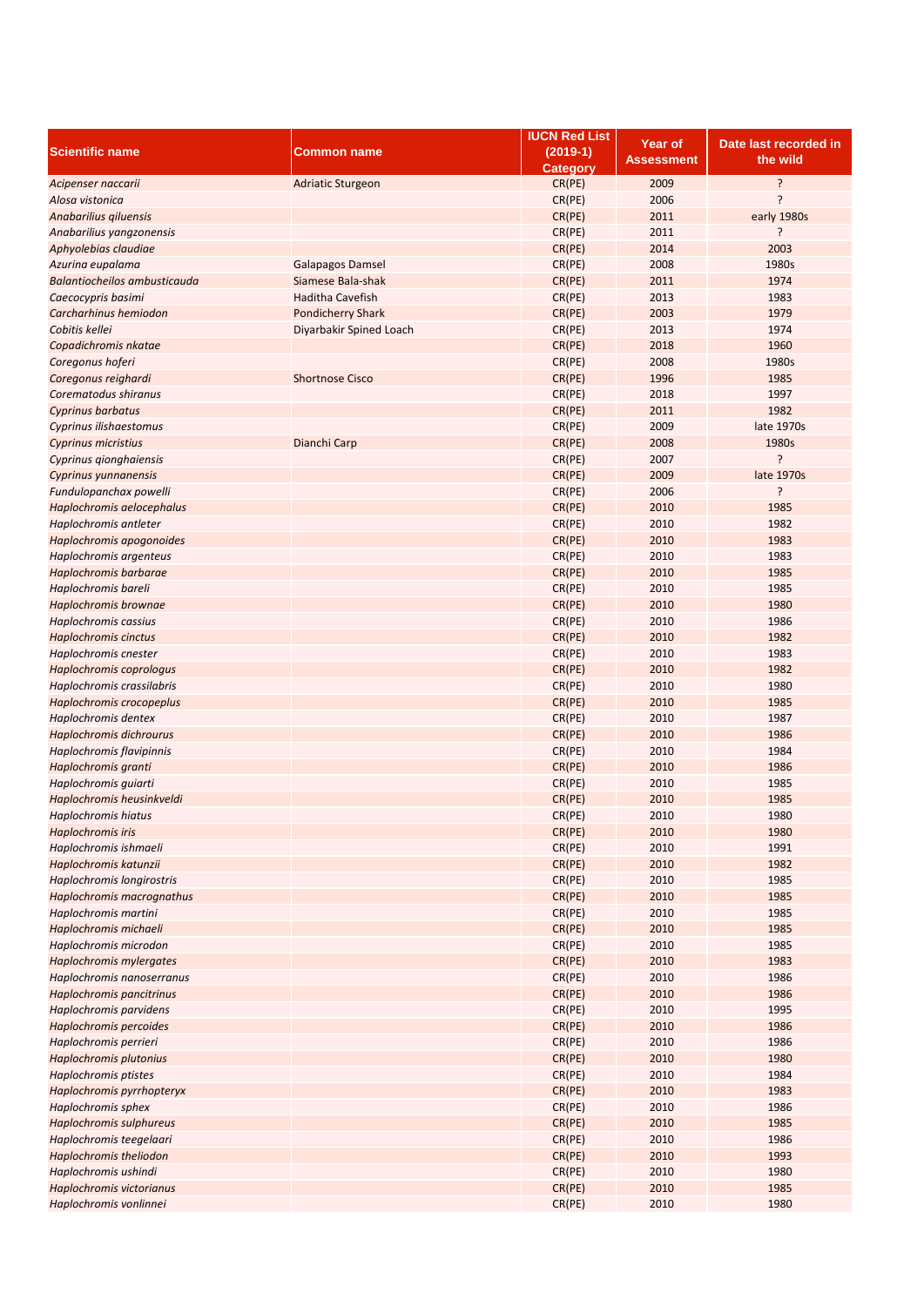|                                |                          | <b>IUCN Red List</b> | <b>Year of</b>    | Date last recorded in |
|--------------------------------|--------------------------|----------------------|-------------------|-----------------------|
| <b>Scientific name</b>         | <b>Common name</b>       | $(2019-1)$           |                   |                       |
|                                |                          | <b>Category</b>      | <b>Assessment</b> | the wild              |
| Acipenser naccarii             | <b>Adriatic Sturgeon</b> | CR(PE)               | 2009              | ?                     |
| Alosa vistonica                |                          | CR(PE)               | 2006              | ?                     |
| Anabarilius giluensis          |                          | CR(PE)               | 2011              | early 1980s           |
|                                |                          |                      |                   |                       |
| Anabarilius yangzonensis       |                          | CR(PE)               | 2011              | ?                     |
| Aphyolebias claudiae           |                          | CR(PE)               | 2014              | 2003                  |
| Azurina eupalama               | <b>Galapagos Damsel</b>  | CR(PE)               | 2008              | 1980s                 |
| Balantiocheilos ambusticauda   | Siamese Bala-shak        | CR(PE)               | 2011              | 1974                  |
| Caecocypris basimi             | <b>Haditha Cavefish</b>  | CR(PE)               | 2013              | 1983                  |
| Carcharhinus hemiodon          | <b>Pondicherry Shark</b> | CR(PE)               | 2003              | 1979                  |
| Cobitis kellei                 | Diyarbakir Spined Loach  | CR(PE)               | 2013              | 1974                  |
| Copadichromis nkatae           |                          | CR(PE)               | 2018              | 1960                  |
|                                |                          | CR(PE)               | 2008              | 1980s                 |
| Coregonus hoferi               |                          |                      |                   |                       |
| Coregonus reighardi            | <b>Shortnose Cisco</b>   | CR(PE)               | 1996              | 1985                  |
| Corematodus shiranus           |                          | CR(PE)               | 2018              | 1997                  |
| <b>Cyprinus barbatus</b>       |                          | CR(PE)               | 2011              | 1982                  |
| Cyprinus ilishaestomus         |                          | CR(PE)               | 2009              | late 1970s            |
| <b>Cyprinus micristius</b>     | Dianchi Carp             | CR(PE)               | 2008              | 1980s                 |
| Cyprinus gionghaiensis         |                          | CR(PE)               | 2007              | ?                     |
| Cyprinus yunnanensis           |                          | CR(PE)               | 2009              | late 1970s            |
| Fundulopanchax powelli         |                          | CR(PE)               | 2006              | ?                     |
|                                |                          |                      | 2010              | 1985                  |
| Haplochromis aelocephalus      |                          | CR(PE)               |                   |                       |
| Haplochromis antleter          |                          | CR(PE)               | 2010              | 1982                  |
| Haplochromis apogonoides       |                          | CR(PE)               | 2010              | 1983                  |
| Haplochromis argenteus         |                          | CR(PE)               | 2010              | 1983                  |
| Haplochromis barbarae          |                          | CR(PE)               | 2010              | 1985                  |
| Haplochromis bareli            |                          | CR(PE)               | 2010              | 1985                  |
| Haplochromis brownae           |                          | CR(PE)               | 2010              | 1980                  |
| Haplochromis cassius           |                          | CR(PE)               | 2010              | 1986                  |
| <b>Haplochromis cinctus</b>    |                          | CR(PE)               | 2010              | 1982                  |
| Haplochromis cnester           |                          | CR(PE)               | 2010              | 1983                  |
| Haplochromis coprologus        |                          | CR(PE)               | 2010              | 1982                  |
|                                |                          |                      |                   |                       |
| Haplochromis crassilabris      |                          | CR(PE)               | 2010              | 1980                  |
| Haplochromis crocopeplus       |                          | CR(PE)               | 2010              | 1985                  |
| Haplochromis dentex            |                          | CR(PE)               | 2010              | 1987                  |
| <b>Haplochromis dichrourus</b> |                          | CR(PE)               | 2010              | 1986                  |
| Haplochromis flavipinnis       |                          | CR(PE)               | 2010              | 1984                  |
| Haplochromis granti            |                          | CR(PE)               | 2010              | 1986                  |
| Haplochromis quiarti           |                          | CR(PE)               | 2010              | 1985                  |
| Haplochromis heusinkveldi      |                          | CR(PE)               | 2010              | 1985                  |
| <b>Haplochromis hiatus</b>     |                          | CR(PE)               | 2010              | 1980                  |
|                                |                          |                      |                   |                       |
| Haplochromis iris              |                          | CR(PE)               | 2010              | 1980                  |
| Haplochromis ishmaeli          |                          | CR(PE)               | 2010              | 1991                  |
| Haplochromis katunzii          |                          | CR(PE)               | 2010              | 1982                  |
| Haplochromis longirostris      |                          | CR(PE)               | 2010              | 1985                  |
| Haplochromis macrognathus      |                          | CR(PE)               | 2010              | 1985                  |
| Haplochromis martini           |                          | CR(PE)               | 2010              | 1985                  |
| Haplochromis michaeli          |                          | CR(PE)               | 2010              | 1985                  |
| Haplochromis microdon          |                          | CR(PE)               | 2010              | 1985                  |
| Haplochromis mylergates        |                          | CR(PE)               | 2010              | 1983                  |
| Haplochromis nanoserranus      |                          | CR(PE)               | 2010              | 1986                  |
| Haplochromis pancitrinus       |                          | CR(PE)               | 2010              | 1986                  |
| Haplochromis parvidens         |                          | CR(PE)               | 2010              | 1995                  |
|                                |                          |                      |                   |                       |
| Haplochromis percoides         |                          | CR(PE)               | 2010              | 1986                  |
| Haplochromis perrieri          |                          | CR(PE)               | 2010              | 1986                  |
| Haplochromis plutonius         |                          | CR(PE)               | 2010              | 1980                  |
| Haplochromis ptistes           |                          | CR(PE)               | 2010              | 1984                  |
| Haplochromis pyrrhopteryx      |                          | CR(PE)               | 2010              | 1983                  |
| Haplochromis sphex             |                          | CR(PE)               | 2010              | 1986                  |
| Haplochromis sulphureus        |                          | CR(PE)               | 2010              | 1985                  |
| Haplochromis teegelaari        |                          | CR(PE)               | 2010              | 1986                  |
| Haplochromis theliodon         |                          |                      | 2010              | 1993                  |
|                                |                          | CR(PE)               |                   |                       |
| Haplochromis ushindi           |                          | CR(PE)               | 2010              | 1980                  |
| Haplochromis victorianus       |                          | CR(PE)               | 2010              | 1985                  |
| Haplochromis vonlinnei         |                          | CR(PE)               | 2010              | 1980                  |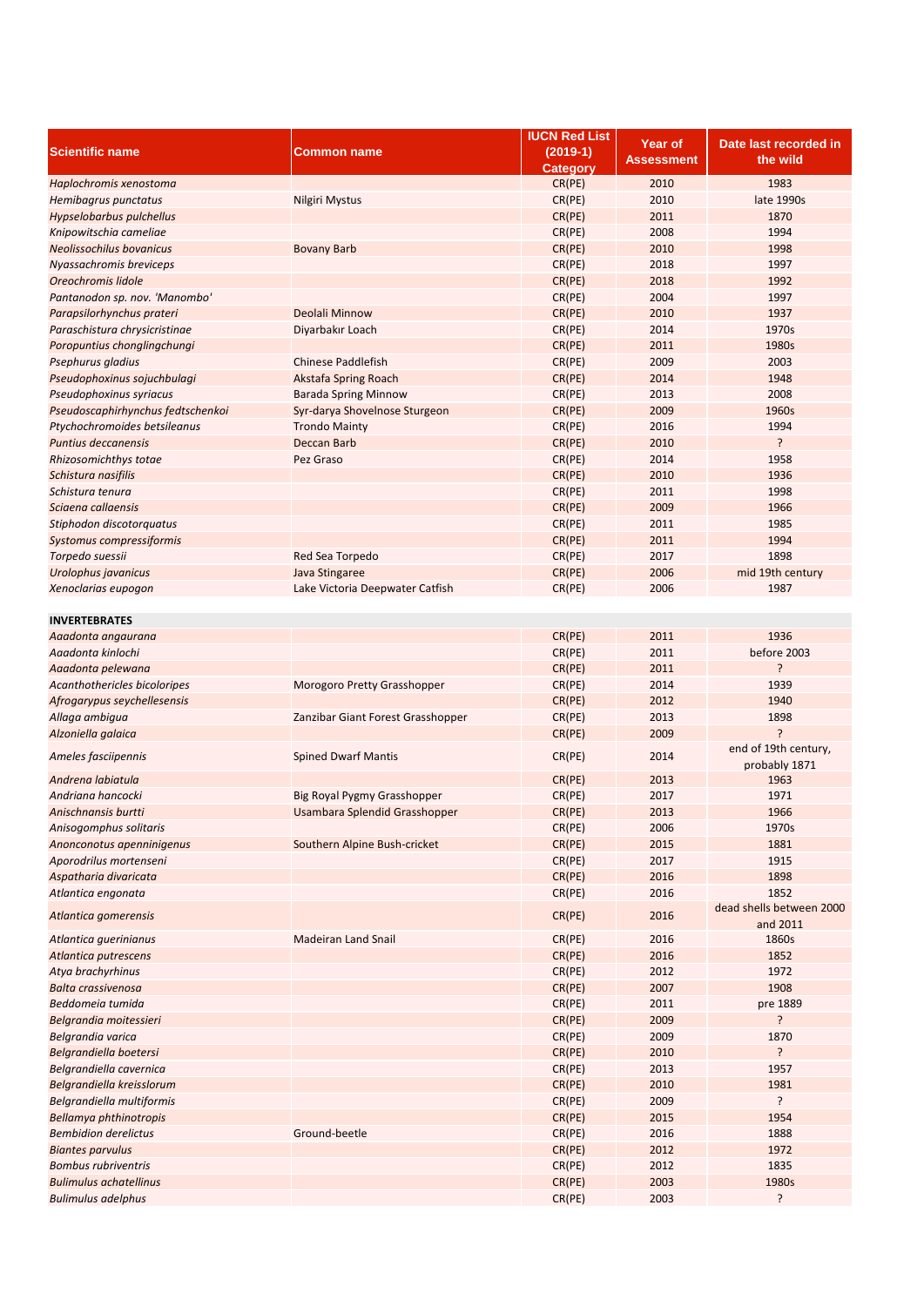|                                   |                                   | <b>IUCN Red List</b> | Year of           | Date last recorded in    |
|-----------------------------------|-----------------------------------|----------------------|-------------------|--------------------------|
| <b>Scientific name</b>            | Common name                       | $(2019-1)$           | <b>Assessment</b> | the wild                 |
|                                   |                                   | <b>Category</b>      |                   |                          |
| Haplochromis xenostoma            |                                   | CR(PE)               | 2010              | 1983                     |
| Hemibagrus punctatus              | Nilgiri Mystus                    | CR(PE)               | 2010              | late 1990s               |
| Hypselobarbus pulchellus          |                                   | CR(PE)               | 2011              | 1870                     |
| Knipowitschia cameliae            |                                   | CR(PE)               | 2008              | 1994                     |
| <b>Neolissochilus bovanicus</b>   | <b>Bovany Barb</b>                | CR(PE)               | 2010              | 1998                     |
| Nyassachromis breviceps           |                                   | CR(PE)               | 2018              | 1997                     |
| Oreochromis lidole                |                                   | CR(PE)               | 2018              | 1992                     |
| Pantanodon sp. nov. 'Manombo'     |                                   | CR(PE)               | 2004              | 1997                     |
| Parapsilorhynchus prateri         | Deolali Minnow                    | CR(PE)               | 2010              | 1937                     |
| Paraschistura chrysicristinae     | Diyarbakır Loach                  | CR(PE)               | 2014              | 1970s                    |
| Poropuntius chonglingchungi       |                                   | CR(PE)               | 2011              | 1980s                    |
| Psephurus gladius                 | <b>Chinese Paddlefish</b>         | CR(PE)               | 2009              | 2003                     |
|                                   |                                   | CR(PE)               | 2014              | 1948                     |
| Pseudophoxinus sojuchbulagi       | Akstafa Spring Roach              |                      |                   |                          |
| Pseudophoxinus syriacus           | <b>Barada Spring Minnow</b>       | CR(PE)               | 2013              | 2008                     |
| Pseudoscaphirhynchus fedtschenkoi | Syr-darya Shovelnose Sturgeon     | CR(PE)               | 2009              | 1960s                    |
| Ptychochromoides betsileanus      | <b>Trondo Mainty</b>              | CR(PE)               | 2016              | 1994                     |
| Puntius deccanensis               | Deccan Barb                       | CR(PE)               | 2010              | ?                        |
| Rhizosomichthys totae             | Pez Graso                         | CR(PE)               | 2014              | 1958                     |
| Schistura nasifilis               |                                   | CR(PE)               | 2010              | 1936                     |
| Schistura tenura                  |                                   | CR(PE)               | 2011              | 1998                     |
| Sciaena callaensis                |                                   | CR(PE)               | 2009              | 1966                     |
| Stiphodon discotorquatus          |                                   | CR(PE)               | 2011              | 1985                     |
| Systomus compressiformis          |                                   | CR(PE)               | 2011              | 1994                     |
| Torpedo suessii                   | Red Sea Torpedo                   | CR(PE)               | 2017              | 1898                     |
| Urolophus javanicus               | Java Stingaree                    | CR(PE)               | 2006              | mid 19th century         |
| Xenoclarias eupogon               | Lake Victoria Deepwater Catfish   | CR(PE)               | 2006              | 1987                     |
|                                   |                                   |                      |                   |                          |
| <b>INVERTEBRATES</b>              |                                   |                      |                   |                          |
| Aaadonta angaurana                |                                   | CR(PE)               | 2011              | 1936                     |
|                                   |                                   |                      |                   |                          |
| Aaadonta kinlochi                 |                                   | CR(PE)               | 2011              | before 2003              |
| Aaadonta pelewana                 |                                   | CR(PE)               | 2011              | ŗ.                       |
| Acanthothericles bicoloripes      | Morogoro Pretty Grasshopper       | CR(PE)               | 2014              | 1939                     |
| Afrogarypus seychellesensis       |                                   | CR(PE)               | 2012              | 1940                     |
| Allaga ambigua                    | Zanzibar Giant Forest Grasshopper | CR(PE)               | 2013              | 1898                     |
| Alzoniella galaica                |                                   | CR(PE)               | 2009              | ?                        |
| Ameles fasciipennis               | <b>Spined Dwarf Mantis</b>        | CR(PE)               | 2014              | end of 19th century,     |
|                                   |                                   |                      |                   | probably 1871            |
| Andrena labiatula                 |                                   | CR(PE)               | 2013              | 1963                     |
| Andriana hancocki                 | Big Royal Pygmy Grasshopper       | CR(PE)               | 2017              | 1971                     |
| Anischnansis burtti               | Usambara Splendid Grasshopper     | CR(PE)               | 2013              | 1966                     |
| Anisogomphus solitaris            |                                   | CR(PE)               | 2006              | 1970s                    |
| Anonconotus apenninigenus         | Southern Alpine Bush-cricket      | CR(PE)               | 2015              | 1881                     |
| Aporodrilus mortenseni            |                                   | CR(PE)               | 2017              | 1915                     |
| Aspatharia divaricata             |                                   | CR(PE)               | 2016              | 1898                     |
| Atlantica engonata                |                                   | CR(PE)               | 2016              | 1852                     |
|                                   |                                   |                      |                   | dead shells between 2000 |
| Atlantica gomerensis              |                                   | CR(PE)               | 2016              | and 2011                 |
| Atlantica guerinianus             | <b>Madeiran Land Snail</b>        | CR(PE)               | 2016              | 1860s                    |
| Atlantica putrescens              |                                   | CR(PE)               | 2016              | 1852                     |
| Atya brachyrhinus                 |                                   | CR(PE)               | 2012              | 1972                     |
| Balta crassivenosa                |                                   | CR(PE)               | 2007              | 1908                     |
| Beddomeia tumida                  |                                   | CR(PE)               | 2011              | pre 1889                 |
| Belgrandia moitessieri            |                                   |                      | 2009              | ?                        |
|                                   |                                   | CR(PE)               |                   |                          |
| Belgrandia varica                 |                                   | CR(PE)               | 2009              | 1870                     |
| Belgrandiella boetersi            |                                   | CR(PE)               | 2010              | ŗ                        |
| Belgrandiella cavernica           |                                   | CR(PE)               | 2013              | 1957                     |
| Belgrandiella kreisslorum         |                                   | CR(PE)               | 2010              | 1981                     |
| Belgrandiella multiformis         |                                   | CR(PE)               | 2009              | ?                        |
| Bellamya phthinotropis            |                                   | CR(PE)               | 2015              | 1954                     |
| <b>Bembidion derelictus</b>       | Ground-beetle                     | CR(PE)               | 2016              | 1888                     |
| <b>Biantes parvulus</b>           |                                   | CR(PE)               | 2012              | 1972                     |
| <b>Bombus rubriventris</b>        |                                   | CR(PE)               | 2012              | 1835                     |
| <b>Bulimulus achatellinus</b>     |                                   | CR(PE)               | 2003              | 1980s                    |
| <b>Bulimulus adelphus</b>         |                                   | CR(PE)               | 2003              | ?                        |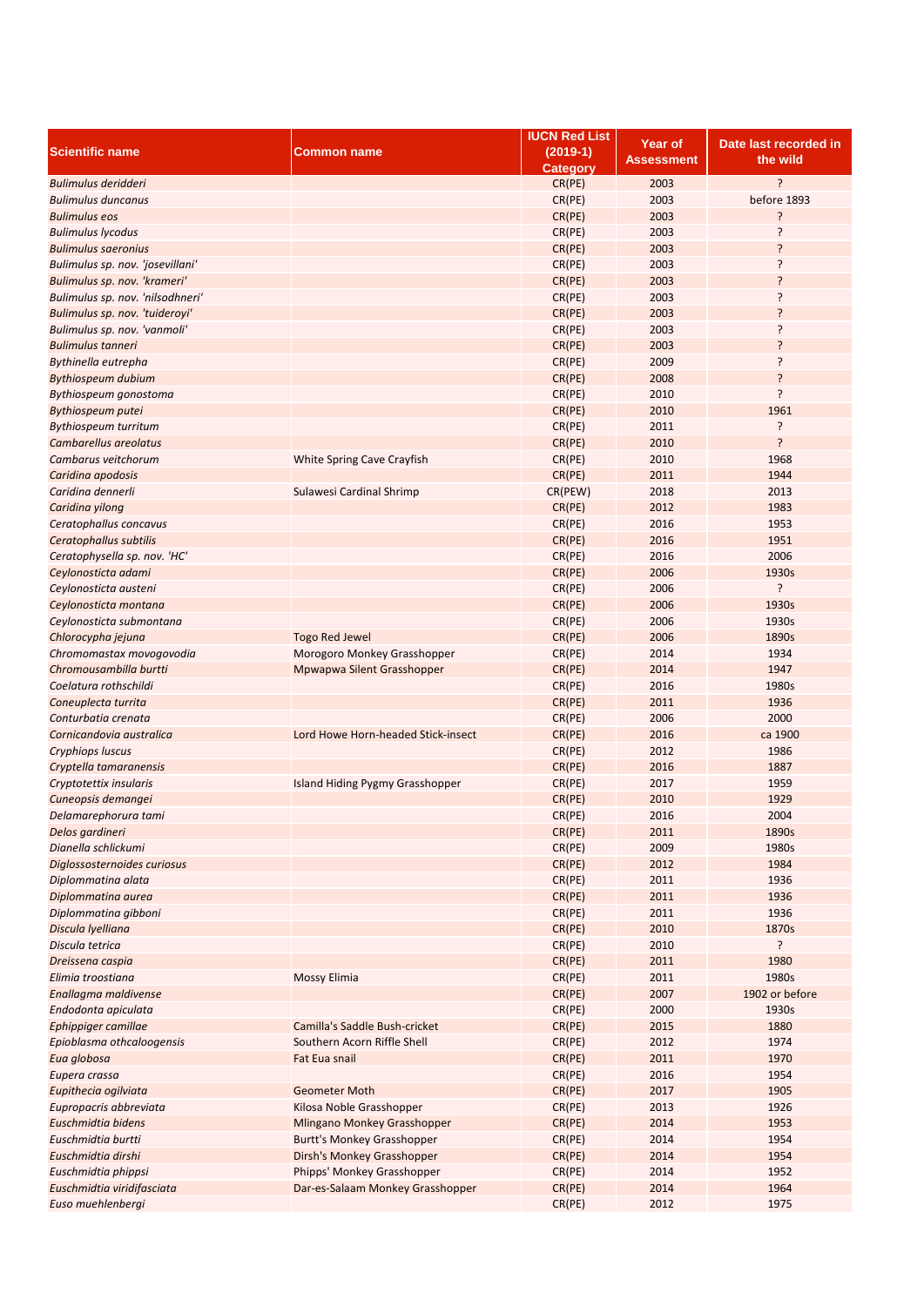|                                  |                                    | <b>IUCN Red List</b> | Year of    | Date last recorded in |
|----------------------------------|------------------------------------|----------------------|------------|-----------------------|
| <b>Scientific name</b>           | Common name                        | $(2019-1)$           |            |                       |
|                                  |                                    | <b>Category</b>      | Assessment | the wild              |
| Bulimulus deridderi              |                                    | CR(PE)               | 2003       | <sup>2</sup>          |
| <b>Bulimulus duncanus</b>        |                                    | CR(PE)               | 2003       | before 1893           |
| <b>Bulimulus eos</b>             |                                    | CR(PE)               | 2003       | ?                     |
| <b>Bulimulus lycodus</b>         |                                    | CR(PE)               | 2003       | 5                     |
| <b>Bulimulus saeronius</b>       |                                    | CR(PE)               | 2003       | ŗ                     |
|                                  |                                    |                      |            | ŗ                     |
| Bulimulus sp. nov. 'josevillani' |                                    | CR(PE)               | 2003       |                       |
| Bulimulus sp. nov. 'krameri'     |                                    | CR(PE)               | 2003       | ?                     |
| Bulimulus sp. nov. 'nilsodhneri' |                                    | CR(PE)               | 2003       | 5                     |
| Bulimulus sp. nov. 'tuideroyi'   |                                    | CR(PE)               | 2003       | ?                     |
| Bulimulus sp. nov. 'vanmoli'     |                                    | CR(PE)               | 2003       | ŗ                     |
| <b>Bulimulus tanneri</b>         |                                    | CR(PE)               | 2003       | ŗ                     |
| Bythinella eutrepha              |                                    | CR(PE)               | 2009       | 5                     |
| Bythiospeum dubium               |                                    | CR(PE)               | 2008       | ŗ                     |
| Bythiospeum gonostoma            |                                    | CR(PE)               | 2010       | ŗ                     |
| Bythiospeum putei                |                                    | CR(PE)               | 2010       | 1961                  |
| Bythiospeum turritum             |                                    | CR(PE)               | 2011       | ŗ                     |
| Cambarellus areolatus            |                                    | CR(PE)               | 2010       | ŗ                     |
| Cambarus veitchorum              | White Spring Cave Crayfish         | CR(PE)               | 2010       | 1968                  |
| Caridina apodosis                |                                    | CR(PE)               | 2011       | 1944                  |
|                                  | Sulawesi Cardinal Shrimp           |                      | 2018       | 2013                  |
| Caridina dennerli                |                                    | CR(PEW)              |            |                       |
| Caridina yilong                  |                                    | CR(PE)               | 2012       | 1983                  |
| Ceratophallus concavus           |                                    | CR(PE)               | 2016       | 1953                  |
| Ceratophallus subtilis           |                                    | CR(PE)               | 2016       | 1951                  |
| Ceratophysella sp. nov. 'HC'     |                                    | CR(PE)               | 2016       | 2006                  |
| Ceylonosticta adami              |                                    | CR(PE)               | 2006       | 1930s                 |
| Ceylonosticta austeni            |                                    | CR(PE)               | 2006       | ŗ                     |
| Ceylonosticta montana            |                                    | CR(PE)               | 2006       | 1930s                 |
| Ceylonosticta submontana         |                                    | CR(PE)               | 2006       | 1930s                 |
| Chlorocypha jejuna               | Togo Red Jewel                     | CR(PE)               | 2006       | 1890s                 |
| Chromomastax movogovodia         | Morogoro Monkey Grasshopper        | CR(PE)               | 2014       | 1934                  |
| Chromousambilla burtti           | Mpwapwa Silent Grasshopper         | CR(PE)               | 2014       | 1947                  |
| Coelatura rothschildi            |                                    | CR(PE)               | 2016       | 1980s                 |
| Coneuplecta turrita              |                                    | CR(PE)               | 2011       | 1936                  |
| Conturbatia crenata              |                                    |                      | 2006       | 2000                  |
|                                  |                                    | CR(PE)               |            | ca 1900               |
| Cornicandovia australica         | Lord Howe Horn-headed Stick-insect | CR(PE)               | 2016       |                       |
| Cryphiops luscus                 |                                    | CR(PE)               | 2012       | 1986                  |
| Cryptella tamaranensis           |                                    | CR(PE)               | 2016       | 1887                  |
| Cryptotettix insularis           | Island Hiding Pygmy Grasshopper    | CR(PE)               | 2017       | 1959                  |
| Cuneopsis demangei               |                                    | CR(PE)               | 2010       | 1929                  |
| Delamarephorura tami             |                                    | CR(PE)               | 2016       | 2004                  |
| Delos gardineri                  |                                    | CR(PE)               | 2011       | 1890s                 |
| Dianella schlickumi              |                                    | CR(PE)               | 2009       | 1980s                 |
| Diglossosternoides curiosus      |                                    | CR(PE)               | 2012       | 1984                  |
| Diplommatina alata               |                                    | CR(PE)               | 2011       | 1936                  |
| Diplommatina aurea               |                                    | CR(PE)               | 2011       | 1936                  |
| Diplommatina gibboni             |                                    | CR(PE)               | 2011       | 1936                  |
| Discula lyelliana                |                                    | CR(PE)               | 2010       | 1870s                 |
| Discula tetrica                  |                                    | CR(PE)               | 2010       | Ś.                    |
| Dreissena caspia                 |                                    |                      | 2011       | 1980                  |
|                                  |                                    | CR(PE)               |            | 1980s                 |
| Elimia troostiana                | Mossy Elimia                       | CR(PE)               | 2011       |                       |
| Enallagma maldivense             |                                    | CR(PE)               | 2007       | 1902 or before        |
| Endodonta apiculata              |                                    | CR(PE)               | 2000       | 1930s                 |
| Ephippiger camillae              | Camilla's Saddle Bush-cricket      | CR(PE)               | 2015       | 1880                  |
| Epioblasma othcaloogensis        | Southern Acorn Riffle Shell        | CR(PE)               | 2012       | 1974                  |
| Eua globosa                      | Fat Eua snail                      | CR(PE)               | 2011       | 1970                  |
| Eupera crassa                    |                                    | CR(PE)               | 2016       | 1954                  |
| Eupithecia ogilviata             | <b>Geometer Moth</b>               | CR(PE)               | 2017       | 1905                  |
| Eupropacris abbreviata           | Kilosa Noble Grasshopper           | CR(PE)               | 2013       | 1926                  |
| Euschmidtia bidens               | Mlingano Monkey Grasshopper        | CR(PE)               | 2014       | 1953                  |
| Euschmidtia burtti               | <b>Burtt's Monkey Grasshopper</b>  | CR(PE)               | 2014       | 1954                  |
| Euschmidtia dirshi               | <b>Dirsh's Monkey Grasshopper</b>  | CR(PE)               | 2014       | 1954                  |
| Euschmidtia phippsi              | Phipps' Monkey Grasshopper         | CR(PE)               | 2014       | 1952                  |
| Euschmidtia viridifasciata       | Dar-es-Salaam Monkey Grasshopper   | CR(PE)               | 2014       | 1964                  |
|                                  |                                    |                      | 2012       | 1975                  |
| Euso muehlenbergi                |                                    | CR(PE)               |            |                       |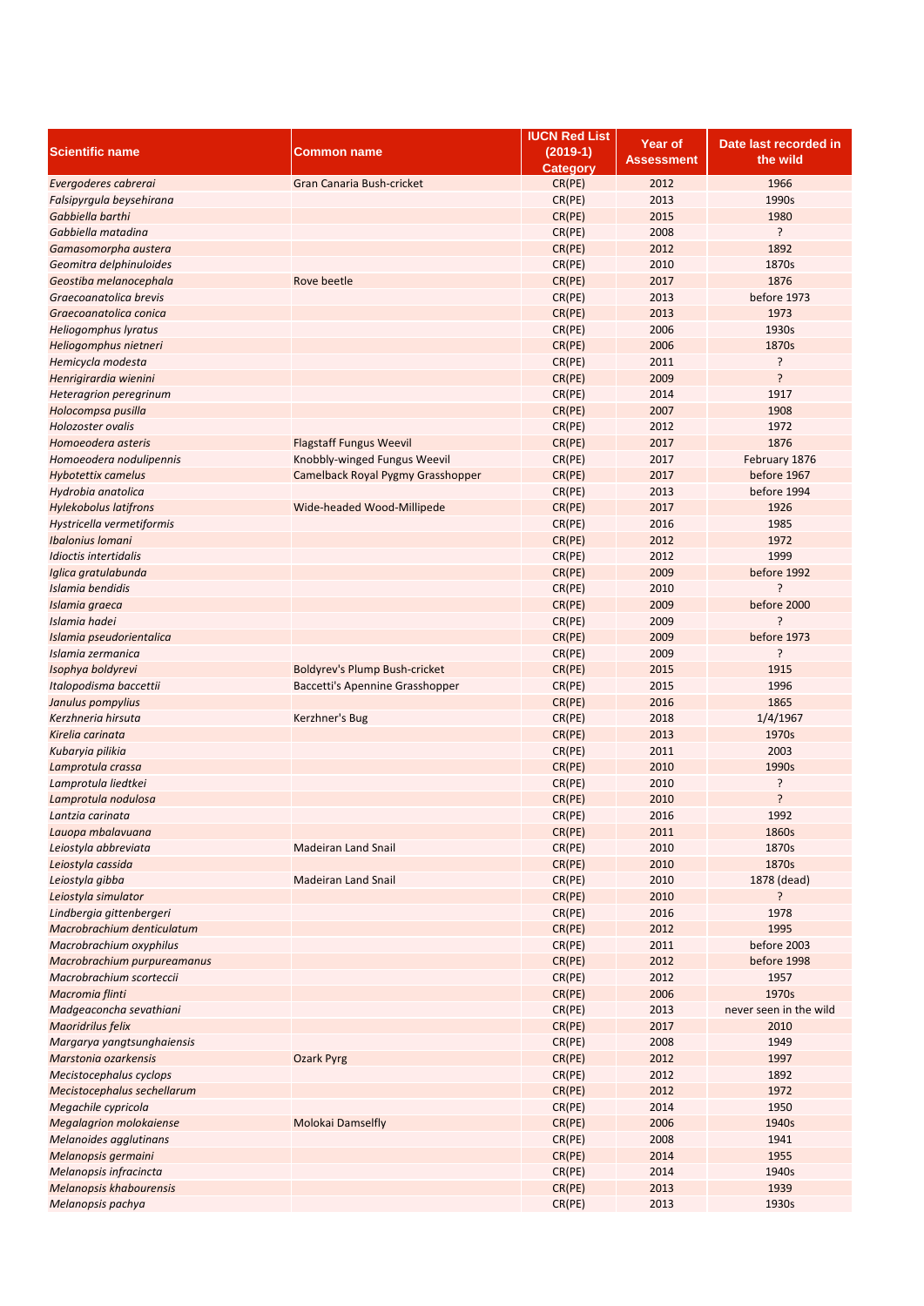|                                |                                      | <b>IUCN Red List</b> | <b>Year of</b>    | Date last recorded in  |
|--------------------------------|--------------------------------------|----------------------|-------------------|------------------------|
| <b>Scientific name</b>         | Common name                          | $(2019-1)$           |                   | the wild               |
|                                |                                      | <b>Category</b>      | <b>Assessment</b> |                        |
| Evergoderes cabrerai           | <b>Gran Canaria Bush-cricket</b>     | CR(PE)               | 2012              | 1966                   |
| Falsipyrgula beysehirana       |                                      | CR(PE)               | 2013              | 1990s                  |
| Gabbiella barthi               |                                      | CR(PE)               | 2015              | 1980                   |
| Gabbiella matadina             |                                      | CR(PE)               | 2008              | ŗ                      |
| Gamasomorpha austera           |                                      | CR(PE)               | 2012              | 1892                   |
|                                |                                      |                      |                   |                        |
| Geomitra delphinuloides        |                                      | CR(PE)               | 2010              | 1870s                  |
| Geostiba melanocephala         | Rove beetle                          | CR(PE)               | 2017              | 1876                   |
| Graecoanatolica brevis         |                                      | CR(PE)               | 2013              | before 1973            |
| Graecoanatolica conica         |                                      | CR(PE)               | 2013              | 1973                   |
| <b>Heliogomphus lyratus</b>    |                                      | CR(PE)               | 2006              | 1930s                  |
| Heliogomphus nietneri          |                                      | CR(PE)               | 2006              | 1870s                  |
| Hemicycla modesta              |                                      | CR(PE)               | 2011              | ?                      |
| Henrigirardia wienini          |                                      | CR(PE)               | 2009              | ?                      |
| Heteragrion peregrinum         |                                      | CR(PE)               | 2014              | 1917                   |
| Holocompsa pusilla             |                                      | CR(PE)               | 2007              | 1908                   |
| Holozoster ovalis              |                                      | CR(PE)               | 2012              | 1972                   |
|                                |                                      |                      |                   |                        |
| Homoeodera asteris             | <b>Flagstaff Fungus Weevil</b>       | CR(PE)               | 2017              | 1876                   |
| Homoeodera nodulipennis        | Knobbly-winged Fungus Weevil         | CR(PE)               | 2017              | February 1876          |
| <b>Hybotettix camelus</b>      | Camelback Royal Pygmy Grasshopper    | CR(PE)               | 2017              | before 1967            |
| Hydrobia anatolica             |                                      | CR(PE)               | 2013              | before 1994            |
| <b>Hylekobolus latifrons</b>   | Wide-headed Wood-Millipede           | CR(PE)               | 2017              | 1926                   |
| Hystricella vermetiformis      |                                      | CR(PE)               | 2016              | 1985                   |
| Ibalonius Iomani               |                                      | CR(PE)               | 2012              | 1972                   |
| Idioctis intertidalis          |                                      | CR(PE)               | 2012              | 1999                   |
| Iglica gratulabunda            |                                      | CR(PE)               | 2009              | before 1992            |
| Islamia bendidis               |                                      | CR(PE)               | 2010              | ŗ                      |
|                                |                                      |                      |                   | before 2000            |
| Islamia graeca                 |                                      | CR(PE)               | 2009              |                        |
| Islamia hadei                  |                                      | CR(PE)               | 2009              | ç                      |
| Islamia pseudorientalica       |                                      | CR(PE)               | 2009              | before 1973            |
| Islamia zermanica              |                                      | CR(PE)               | 2009              | ŗ                      |
| Isophya boldyrevi              | <b>Boldyrev's Plump Bush-cricket</b> | CR(PE)               | 2015              | 1915                   |
| Italopodisma baccettii         | Baccetti's Apennine Grasshopper      | CR(PE)               | 2015              | 1996                   |
| Janulus pompylius              |                                      | CR(PE)               | 2016              | 1865                   |
| Kerzhneria hirsuta             | Kerzhner's Bug                       | CR(PE)               | 2018              | 1/4/1967               |
| Kirelia carinata               |                                      | CR(PE)               | 2013              | 1970s                  |
| Kubaryia pilikia               |                                      | CR(PE)               | 2011              | 2003                   |
| Lamprotula crassa              |                                      | CR(PE)               | 2010              | 1990s                  |
|                                |                                      |                      |                   |                        |
| Lamprotula liedtkei            |                                      | CR(PE)               | 2010              | ?                      |
| Lamprotula nodulosa            |                                      | CR(PE)               | 2010              | ?                      |
| Lantzia carinata               |                                      | CR(PE)               | 2016              | 1992                   |
| Lauopa mbalavuana              |                                      | CR(PE)               | 2011              | 1860s                  |
| Leiostyla abbreviata           | Madeiran Land Snail                  | CR(PE)               | 2010              | 1870s                  |
| Leiostyla cassida              |                                      | CR(PE)               | 2010              | 1870s                  |
| Leiostyla gibba                | <b>Madeiran Land Snail</b>           | CR(PE)               | 2010              | 1878 (dead)            |
| Leiostyla simulator            |                                      | CR(PE)               | 2010              | ?                      |
| Lindbergia gittenbergeri       |                                      | CR(PE)               | 2016              | 1978                   |
| Macrobrachium denticulatum     |                                      | CR(PE)               | 2012              | 1995                   |
|                                |                                      |                      | 2011              |                        |
| Macrobrachium oxyphilus        |                                      | CR(PE)               |                   | before 2003            |
| Macrobrachium purpureamanus    |                                      | CR(PE)               | 2012              | before 1998            |
| Macrobrachium scorteccii       |                                      | CR(PE)               | 2012              | 1957                   |
| Macromia flinti                |                                      | CR(PE)               | 2006              | 1970s                  |
| Madgeaconcha sevathiani        |                                      | CR(PE)               | 2013              | never seen in the wild |
| Maoridrilus felix              |                                      | CR(PE)               | 2017              | 2010                   |
| Margarya yangtsunghaiensis     |                                      | CR(PE)               | 2008              | 1949                   |
| Marstonia ozarkensis           | <b>Ozark Pyrg</b>                    | CR(PE)               | 2012              | 1997                   |
| Mecistocephalus cyclops        |                                      | CR(PE)               | 2012              | 1892                   |
| Mecistocephalus sechellarum    |                                      | CR(PE)               | 2012              | 1972                   |
| Megachile cypricola            |                                      | CR(PE)               | 2014              | 1950                   |
|                                | <b>Molokai Damselfly</b>             | CR(PE)               | 2006              | 1940s                  |
| <b>Megalagrion molokaiense</b> |                                      |                      |                   |                        |
| Melanoides agglutinans         |                                      | CR(PE)               | 2008              | 1941                   |
| Melanopsis germaini            |                                      | CR(PE)               | 2014              | 1955                   |
| Melanopsis infracincta         |                                      | CR(PE)               | 2014              | 1940s                  |
| Melanopsis khabourensis        |                                      | CR(PE)               | 2013              | 1939                   |
| Melanopsis pachya              |                                      | CR(PE)               | 2013              | 1930s                  |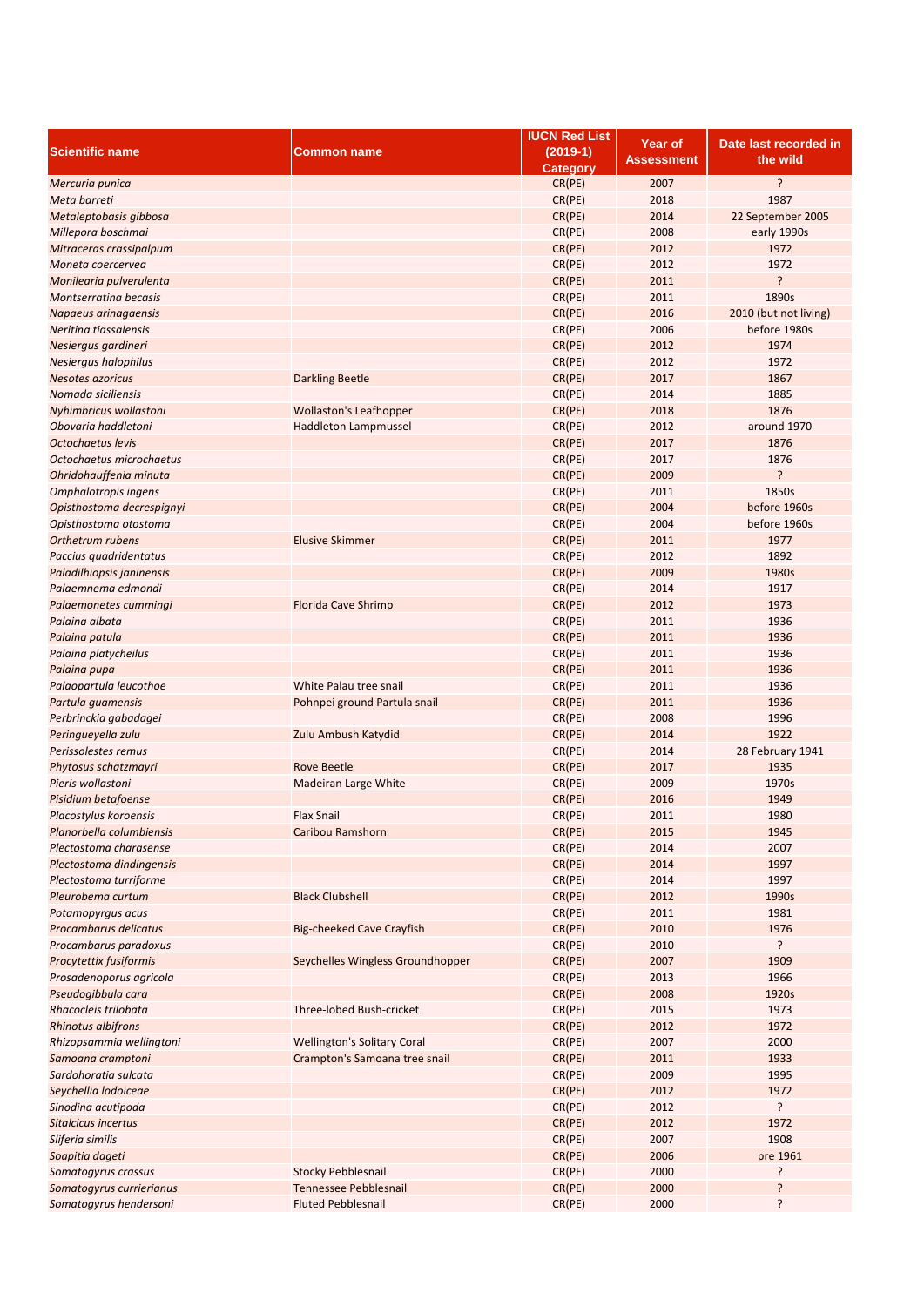|                           |                                    | <b>IUCN Red List</b> | Year of    | Date last recorded in |
|---------------------------|------------------------------------|----------------------|------------|-----------------------|
| <b>Scientific name</b>    | <b>Common name</b>                 | $(2019-1)$           | Assessment | the wild              |
|                           |                                    | <b>Category</b>      |            |                       |
| Mercuria punica           |                                    | CR(PE)               | 2007       | ?                     |
| Meta barreti              |                                    | CR(PE)               | 2018       | 1987                  |
| Metaleptobasis gibbosa    |                                    | CR(PE)               | 2014       | 22 September 2005     |
| Millepora boschmai        |                                    | CR(PE)               | 2008       | early 1990s           |
| Mitraceras crassipalpum   |                                    | CR(PE)               | 2012       | 1972                  |
| Moneta coercervea         |                                    | CR(PE)               | 2012       | 1972                  |
|                           |                                    |                      | 2011       | ?                     |
| Monilearia pulverulenta   |                                    | CR(PE)               |            |                       |
| Montserratina becasis     |                                    | CR(PE)               | 2011       | 1890s                 |
| Napaeus arinagaensis      |                                    | CR(PE)               | 2016       | 2010 (but not living) |
| Neritina tiassalensis     |                                    | CR(PE)               | 2006       | before 1980s          |
| Nesiergus gardineri       |                                    | CR(PE)               | 2012       | 1974                  |
| Nesiergus halophilus      |                                    | CR(PE)               | 2012       | 1972                  |
| <b>Nesotes azoricus</b>   | <b>Darkling Beetle</b>             | CR(PE)               | 2017       | 1867                  |
| Nomada siciliensis        |                                    | CR(PE)               | 2014       | 1885                  |
| Nyhimbricus wollastoni    | <b>Wollaston's Leafhopper</b>      | CR(PE)               | 2018       | 1876                  |
| Obovaria haddletoni       | <b>Haddleton Lampmussel</b>        | CR(PE)               | 2012       | around 1970           |
| Octochaetus levis         |                                    | CR(PE)               | 2017       | 1876                  |
| Octochaetus microchaetus  |                                    | CR(PE)               | 2017       | 1876                  |
| Ohridohauffenia minuta    |                                    | CR(PE)               | 2009       | <sup>2</sup>          |
|                           |                                    | CR(PE)               | 2011       | 1850s                 |
| Omphalotropis ingens      |                                    |                      |            |                       |
| Opisthostoma decrespignyi |                                    | CR(PE)               | 2004       | before 1960s          |
| Opisthostoma otostoma     |                                    | CR(PE)               | 2004       | before 1960s          |
| Orthetrum rubens          | <b>Elusive Skimmer</b>             | CR(PE)               | 2011       | 1977                  |
| Paccius quadridentatus    |                                    | CR(PE)               | 2012       | 1892                  |
| Paladilhiopsis janinensis |                                    | CR(PE)               | 2009       | 1980s                 |
| Palaemnema edmondi        |                                    | CR(PE)               | 2014       | 1917                  |
| Palaemonetes cummingi     | <b>Florida Cave Shrimp</b>         | CR(PE)               | 2012       | 1973                  |
| Palaina albata            |                                    | CR(PE)               | 2011       | 1936                  |
| Palaina patula            |                                    | CR(PE)               | 2011       | 1936                  |
| Palaina platycheilus      |                                    | CR(PE)               | 2011       | 1936                  |
| Palaina pupa              |                                    | CR(PE)               | 2011       | 1936                  |
| Palaopartula leucothoe    | White Palau tree snail             | CR(PE)               | 2011       | 1936                  |
|                           |                                    |                      |            |                       |
| Partula guamensis         | Pohnpei ground Partula snail       | CR(PE)               | 2011       | 1936                  |
| Perbrinckia gabadagei     |                                    | CR(PE)               | 2008       | 1996                  |
| Peringueyella zulu        | Zulu Ambush Katydid                | CR(PE)               | 2014       | 1922                  |
| Perissolestes remus       |                                    | CR(PE)               | 2014       | 28 February 1941      |
| Phytosus schatzmayri      | <b>Rove Beetle</b>                 | CR(PE)               | 2017       | 1935                  |
| Pieris wollastoni         | Madeiran Large White               | CR(PE)               | 2009       | 1970s                 |
| Pisidium betafoense       |                                    | CR(PE)               | 2016       | 1949                  |
| Placostylus koroensis     | <b>Flax Snail</b>                  | CR(PE)               | 2011       | 1980                  |
| Planorbella columbiensis  | Caribou Ramshorn                   | CR(PE)               | 2015       | 1945                  |
| Plectostoma charasense    |                                    | CR(PE)               | 2014       | 2007                  |
| Plectostoma dindingensis  |                                    | CR(PE)               | 2014       | 1997                  |
| Plectostoma turriforme    |                                    | CR(PE)               | 2014       | 1997                  |
| Pleurobema curtum         | <b>Black Clubshell</b>             | CR(PE)               | 2012       | 1990s                 |
|                           |                                    |                      | 2011       | 1981                  |
| Potamopyrgus acus         |                                    | CR(PE)               |            |                       |
| Procambarus delicatus     | Big-cheeked Cave Crayfish          | CR(PE)               | 2010       | 1976                  |
| Procambarus paradoxus     |                                    | CR(PE)               | 2010       | ŗ                     |
| Procytettix fusiformis    | Seychelles Wingless Groundhopper   | CR(PE)               | 2007       | 1909                  |
| Prosadenoporus agricola   |                                    | CR(PE)               | 2013       | 1966                  |
| Pseudogibbula cara        |                                    | CR(PE)               | 2008       | 1920s                 |
| Rhacocleis trilobata      | Three-lobed Bush-cricket           | CR(PE)               | 2015       | 1973                  |
| <b>Rhinotus albifrons</b> |                                    | CR(PE)               | 2012       | 1972                  |
| Rhizopsammia wellingtoni  | <b>Wellington's Solitary Coral</b> | CR(PE)               | 2007       | 2000                  |
| Samoana cramptoni         | Crampton's Samoana tree snail      | CR(PE)               | 2011       | 1933                  |
| Sardohoratia sulcata      |                                    | CR(PE)               | 2009       | 1995                  |
| Seychellia lodoiceae      |                                    | CR(PE)               | 2012       | 1972                  |
| Sinodina acutipoda        |                                    | CR(PE)               | 2012       | ŗ                     |
| Sitalcicus incertus       |                                    | CR(PE)               | 2012       | 1972                  |
|                           |                                    |                      |            |                       |
| Sliferia similis          |                                    | CR(PE)               | 2007       | 1908                  |
| Soapitia dageti           |                                    | CR(PE)               | 2006       | pre 1961              |
| Somatogyrus crassus       | <b>Stocky Pebblesnail</b>          | CR(PE)               | 2000       | ŗ                     |
| Somatogyrus currierianus  | Tennessee Pebblesnail              | CR(PE)               | 2000       | ?                     |
| Somatogyrus hendersoni    | <b>Fluted Pebblesnail</b>          | CR(PE)               | 2000       | ŗ                     |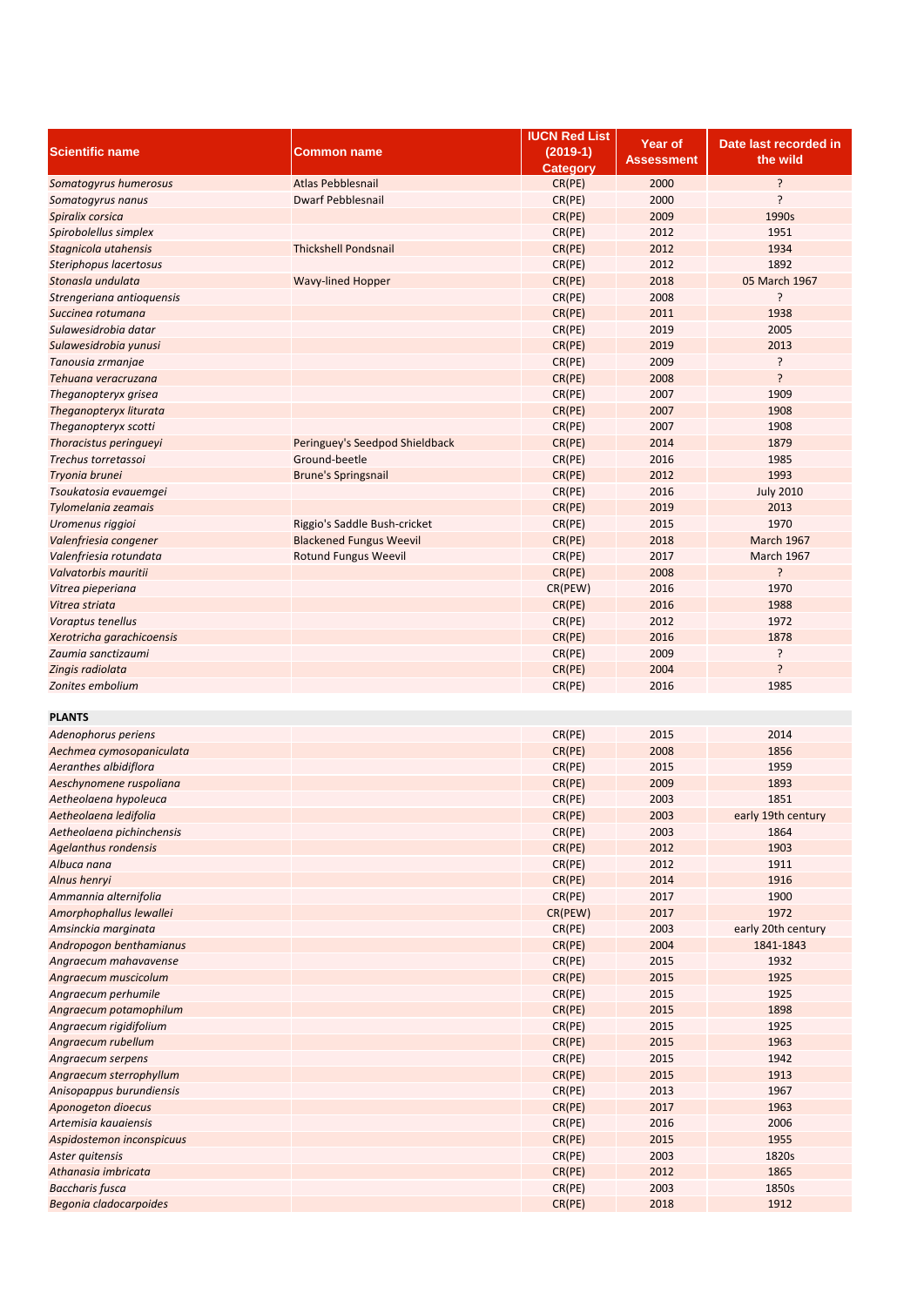|                           |                                | <b>IUCN Red List</b> | <b>Year of</b> | Date last recorded in |
|---------------------------|--------------------------------|----------------------|----------------|-----------------------|
| <b>Scientific name</b>    | Common name                    | $(2019-1)$           |                |                       |
|                           |                                | <b>Category</b>      | Assessment     | the wild              |
| Somatogyrus humerosus     | <b>Atlas Pebblesnail</b>       | CR(PE)               | 2000           | ?                     |
| Somatogyrus nanus         | <b>Dwarf Pebblesnail</b>       | CR(PE)               | 2000           | ?                     |
|                           |                                |                      |                |                       |
| Spiralix corsica          |                                | CR(PE)               | 2009           | 1990s                 |
| Spirobolellus simplex     |                                | CR(PE)               | 2012           | 1951                  |
| Stagnicola utahensis      | <b>Thickshell Pondsnail</b>    | CR(PE)               | 2012           | 1934                  |
| Steriphopus lacertosus    |                                | CR(PE)               | 2012           | 1892                  |
| Stonasla undulata         | <b>Wavy-lined Hopper</b>       | CR(PE)               | 2018           | 05 March 1967         |
| Strengeriana antioquensis |                                | CR(PE)               | 2008           | ŗ                     |
| Succinea rotumana         |                                | CR(PE)               | 2011           | 1938                  |
|                           |                                |                      |                |                       |
| Sulawesidrobia datar      |                                | CR(PE)               | 2019           | 2005                  |
| Sulawesidrobia yunusi     |                                | CR(PE)               | 2019           | 2013                  |
| Tanousia zrmanjae         |                                | CR(PE)               | 2009           | ŗ                     |
| Tehuana veracruzana       |                                | CR(PE)               | 2008           | Ś.                    |
| Theganopteryx grisea      |                                | CR(PE)               | 2007           | 1909                  |
| Theganopteryx liturata    |                                | CR(PE)               | 2007           | 1908                  |
| Theganopteryx scotti      |                                | CR(PE)               | 2007           | 1908                  |
| Thoracistus peringueyi    |                                |                      | 2014           | 1879                  |
|                           | Peringuey's Seedpod Shieldback | CR(PE)               |                |                       |
| Trechus torretassoi       | Ground-beetle                  | CR(PE)               | 2016           | 1985                  |
| Tryonia brunei            | <b>Brune's Springsnail</b>     | CR(PE)               | 2012           | 1993                  |
| Tsoukatosia evauemgei     |                                | CR(PE)               | 2016           | <b>July 2010</b>      |
| Tylomelania zeamais       |                                | CR(PE)               | 2019           | 2013                  |
| Uromenus riggioi          | Riggio's Saddle Bush-cricket   | CR(PE)               | 2015           | 1970                  |
| Valenfriesia congener     | <b>Blackened Fungus Weevil</b> | CR(PE)               | 2018           | <b>March 1967</b>     |
|                           | <b>Rotund Fungus Weevil</b>    |                      |                |                       |
| Valenfriesia rotundata    |                                | CR(PE)               | 2017           | <b>March 1967</b>     |
| Valvatorbis mauritii      |                                | CR(PE)               | 2008           | ŗ                     |
| Vitrea pieperiana         |                                | CR(PEW)              | 2016           | 1970                  |
| Vitrea striata            |                                | CR(PE)               | 2016           | 1988                  |
| Voraptus tenellus         |                                | CR(PE)               | 2012           | 1972                  |
| Xerotricha garachicoensis |                                | CR(PE)               | 2016           | 1878                  |
| Zaumia sanctizaumi        |                                | CR(PE)               | 2009           | ŗ                     |
| Zingis radiolata          |                                | CR(PE)               | 2004           | ?                     |
|                           |                                |                      |                |                       |
| Zonites embolium          |                                | CR(PE)               | 2016           | 1985                  |
|                           |                                |                      |                |                       |
| <b>PLANTS</b>             |                                |                      |                |                       |
| Adenophorus periens       |                                | CR(PE)               | 2015           | 2014                  |
| Aechmea cymosopaniculata  |                                | CR(PE)               | 2008           | 1856                  |
| Aeranthes albidiflora     |                                | CR(PE)               | 2015           | 1959                  |
| Aeschynomene ruspoliana   |                                | CR(PE)               | 2009           | 1893                  |
| Aetheolaena hypoleuca     |                                |                      | 2003           | 1851                  |
|                           |                                | CR(PE)               |                |                       |
| Aetheolaena ledifolia     |                                | CR(PE)               | 2003           | early 19th century    |
| Aetheolaena pichinchensis |                                | CR(PE)               | 2003           | 1864                  |
| Agelanthus rondensis      |                                | CR(PE)               | 2012           | 1903                  |
| Albuca nana               |                                | CR(PE)               | 2012           | 1911                  |
| Alnus henryi              |                                | CR(PE)               | 2014           | 1916                  |
| Ammannia alternifolia     |                                | CR(PE)               | 2017           | 1900                  |
| Amorphophallus lewallei   |                                | CR(PEW)              | 2017           | 1972                  |
|                           |                                |                      | 2003           | early 20th century    |
| Amsinckia marginata       |                                | CR(PE)               |                |                       |
| Andropogon benthamianus   |                                | CR(PE)               | 2004           | 1841-1843             |
| Angraecum mahavavense     |                                | CR(PE)               | 2015           | 1932                  |
| Angraecum muscicolum      |                                | CR(PE)               | 2015           | 1925                  |
| Angraecum perhumile       |                                | CR(PE)               | 2015           | 1925                  |
| Angraecum potamophilum    |                                | CR(PE)               | 2015           | 1898                  |
| Angraecum rigidifolium    |                                | CR(PE)               | 2015           | 1925                  |
|                           |                                |                      | 2015           |                       |
| Angraecum rubellum        |                                | CR(PE)               |                | 1963                  |
| Angraecum serpens         |                                | CR(PE)               | 2015           | 1942                  |
| Angraecum sterrophyllum   |                                | CR(PE)               | 2015           | 1913                  |
| Anisopappus burundiensis  |                                | CR(PE)               | 2013           | 1967                  |
| Aponogeton dioecus        |                                | CR(PE)               | 2017           | 1963                  |
| Artemisia kauaiensis      |                                | CR(PE)               | 2016           | 2006                  |
| Aspidostemon inconspicuus |                                | CR(PE)               | 2015           | 1955                  |
| Aster quitensis           |                                | CR(PE)               | 2003           | 1820s                 |
|                           |                                |                      |                |                       |
| Athanasia imbricata       |                                | CR(PE)               | 2012           | 1865                  |
| <b>Baccharis fusca</b>    |                                | CR(PE)               | 2003           | 1850s                 |
| Begonia cladocarpoides    |                                | CR(PE)               | 2018           | 1912                  |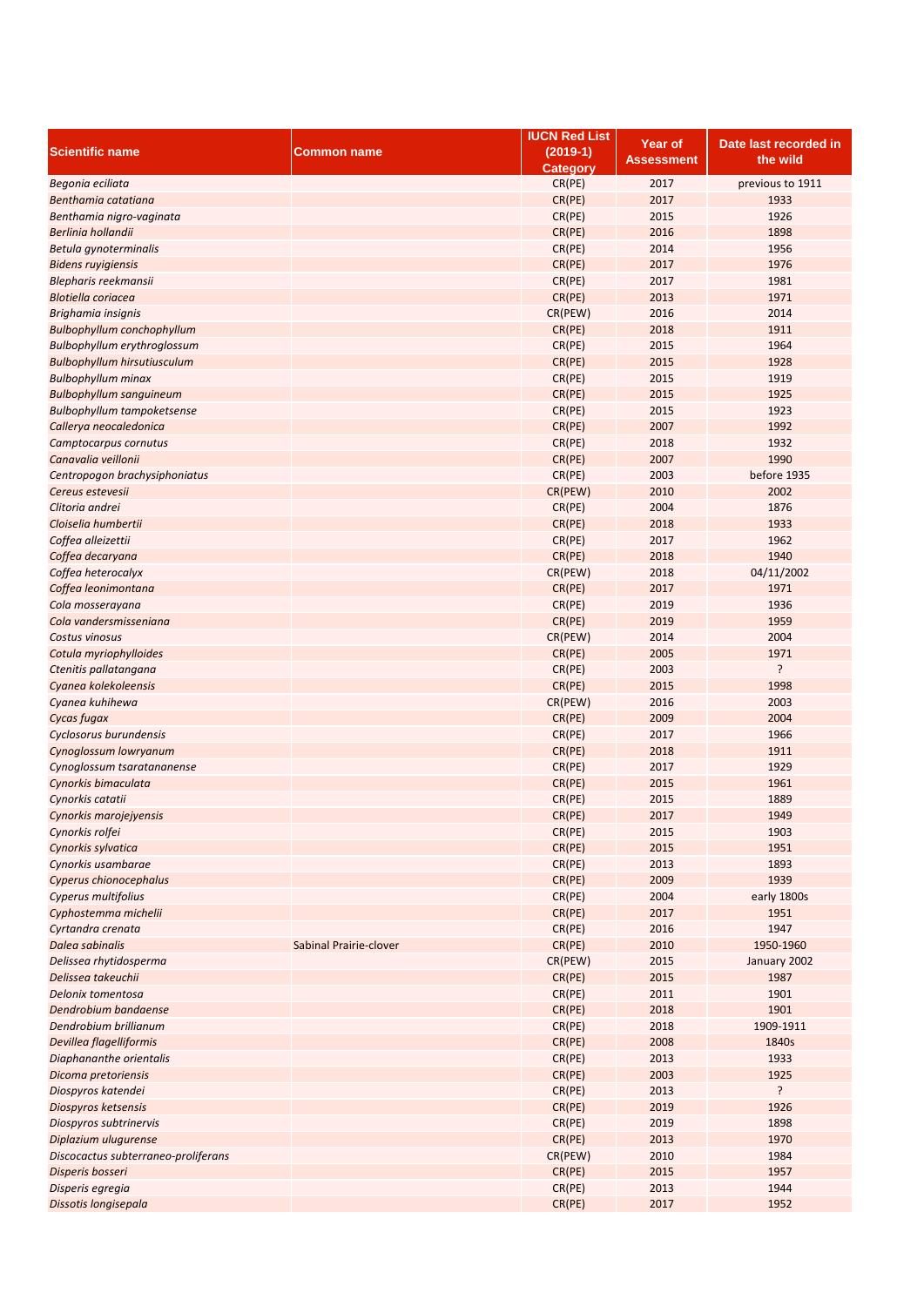|                                     |                        | <b>IUCN Red List</b> | <b>Year of</b> | Date last recorded in |
|-------------------------------------|------------------------|----------------------|----------------|-----------------------|
| <b>Scientific name</b>              | Common name            | $(2019-1)$           |                |                       |
|                                     |                        | <b>Category</b>      | Assessment     | the wild              |
| Begonia eciliata                    |                        | CR(PE)               | 2017           | previous to 1911      |
| Benthamia catatiana                 |                        | CR(PE)               | 2017           | 1933                  |
| Benthamia nigro-vaginata            |                        | CR(PE)               | 2015           | 1926                  |
| Berlinia hollandii                  |                        | CR(PE)               | 2016           | 1898                  |
| Betula gynoterminalis               |                        | CR(PE)               | 2014           | 1956                  |
|                                     |                        |                      |                | 1976                  |
| <b>Bidens ruyigiensis</b>           |                        | CR(PE)               | 2017           |                       |
| Blepharis reekmansii                |                        | CR(PE)               | 2017           | 1981                  |
| <b>Blotiella coriacea</b>           |                        | CR(PE)               | 2013           | 1971                  |
| Brighamia insignis                  |                        | CR(PEW)              | 2016           | 2014                  |
| <b>Bulbophyllum conchophyllum</b>   |                        | CR(PE)               | 2018           | 1911                  |
| Bulbophyllum erythroglossum         |                        | CR(PE)               | 2015           | 1964                  |
| <b>Bulbophyllum hirsutiusculum</b>  |                        | CR(PE)               | 2015           | 1928                  |
| <b>Bulbophyllum minax</b>           |                        | CR(PE)               | 2015           | 1919                  |
| <b>Bulbophyllum sanguineum</b>      |                        | CR(PE)               | 2015           | 1925                  |
| <b>Bulbophyllum tampoketsense</b>   |                        | CR(PE)               | 2015           | 1923                  |
| Callerya neocaledonica              |                        | CR(PE)               | 2007           | 1992                  |
|                                     |                        |                      |                | 1932                  |
| Camptocarpus cornutus               |                        | CR(PE)               | 2018           |                       |
| Canavalia veillonii                 |                        | CR(PE)               | 2007           | 1990                  |
| Centropogon brachysiphoniatus       |                        | CR(PE)               | 2003           | before 1935           |
| Cereus estevesii                    |                        | CR(PEW)              | 2010           | 2002                  |
| Clitoria andrei                     |                        | CR(PE)               | 2004           | 1876                  |
| Cloiselia humbertii                 |                        | CR(PE)               | 2018           | 1933                  |
| Coffea alleizettii                  |                        | CR(PE)               | 2017           | 1962                  |
| Coffea decaryana                    |                        | CR(PE)               | 2018           | 1940                  |
| Coffea heterocalyx                  |                        | CR(PEW)              | 2018           | 04/11/2002            |
| Coffea leonimontana                 |                        | CR(PE)               | 2017           | 1971                  |
| Cola mosserayana                    |                        | CR(PE)               | 2019           | 1936                  |
|                                     |                        |                      | 2019           | 1959                  |
| Cola vandersmisseniana              |                        | CR(PE)               |                |                       |
| Costus vinosus                      |                        | CR(PEW)              | 2014           | 2004                  |
| Cotula myriophylloides              |                        | CR(PE)               | 2005           | 1971                  |
| Ctenitis pallatangana               |                        | CR(PE)               | 2003           | ŗ                     |
| Cyanea kolekoleensis                |                        | CR(PE)               | 2015           | 1998                  |
| Cyanea kuhihewa                     |                        | CR(PEW)              | 2016           | 2003                  |
| Cycas fugax                         |                        | CR(PE)               | 2009           | 2004                  |
| Cyclosorus burundensis              |                        | CR(PE)               | 2017           | 1966                  |
| Cynoglossum lowryanum               |                        | CR(PE)               | 2018           | 1911                  |
| Cynoglossum tsaratananense          |                        | CR(PE)               | 2017           | 1929                  |
| Cynorkis bimaculata                 |                        | CR(PE)               | 2015           | 1961                  |
| Cynorkis catatii                    |                        | CR(PE)               | 2015           | 1889                  |
| Cynorkis marojejyensis              |                        | CR(PE)               | 2017           | 1949                  |
|                                     |                        |                      |                |                       |
| Cynorkis rolfei                     |                        | CR(PE)               | 2015           | 1903                  |
| Cynorkis sylvatica                  |                        | CR(PE)               | 2015           | 1951                  |
| Cynorkis usambarae                  |                        | CR(PE)               | 2013           | 1893                  |
| Cyperus chionocephalus              |                        | CR(PE)               | 2009           | 1939                  |
| Cyperus multifolius                 |                        | CR(PE)               | 2004           | early 1800s           |
| Cyphostemma michelii                |                        | CR(PE)               | 2017           | 1951                  |
| Cyrtandra crenata                   |                        | CR(PE)               | 2016           | 1947                  |
| Dalea sabinalis                     | Sabinal Prairie-clover | CR(PE)               | 2010           | 1950-1960             |
| Delissea rhytidosperma              |                        | CR(PEW)              | 2015           | January 2002          |
| Delissea takeuchii                  |                        | CR(PE)               | 2015           | 1987                  |
| Delonix tomentosa                   |                        | CR(PE)               | 2011           | 1901                  |
| Dendrobium bandaense                |                        | CR(PE)               | 2018           | 1901                  |
| Dendrobium brillianum               |                        | CR(PE)               | 2018           | 1909-1911             |
|                                     |                        |                      | 2008           |                       |
| Devillea flagelliformis             |                        | CR(PE)               |                | 1840s                 |
| Diaphananthe orientalis             |                        | CR(PE)               | 2013           | 1933                  |
| Dicoma pretoriensis                 |                        | CR(PE)               | 2003           | 1925                  |
| Diospyros katendei                  |                        | CR(PE)               | 2013           | ŗ                     |
| Diospyros ketsensis                 |                        | CR(PE)               | 2019           | 1926                  |
| Diospyros subtrinervis              |                        | CR(PE)               | 2019           | 1898                  |
| Diplazium ulugurense                |                        | CR(PE)               | 2013           | 1970                  |
| Discocactus subterraneo-proliferans |                        | CR(PEW)              | 2010           | 1984                  |
| Disperis bosseri                    |                        | CR(PE)               | 2015           | 1957                  |
| Disperis egregia                    |                        | CR(PE)               | 2013           | 1944                  |
| Dissotis longisepala                |                        | CR(PE)               | 2017           | 1952                  |
|                                     |                        |                      |                |                       |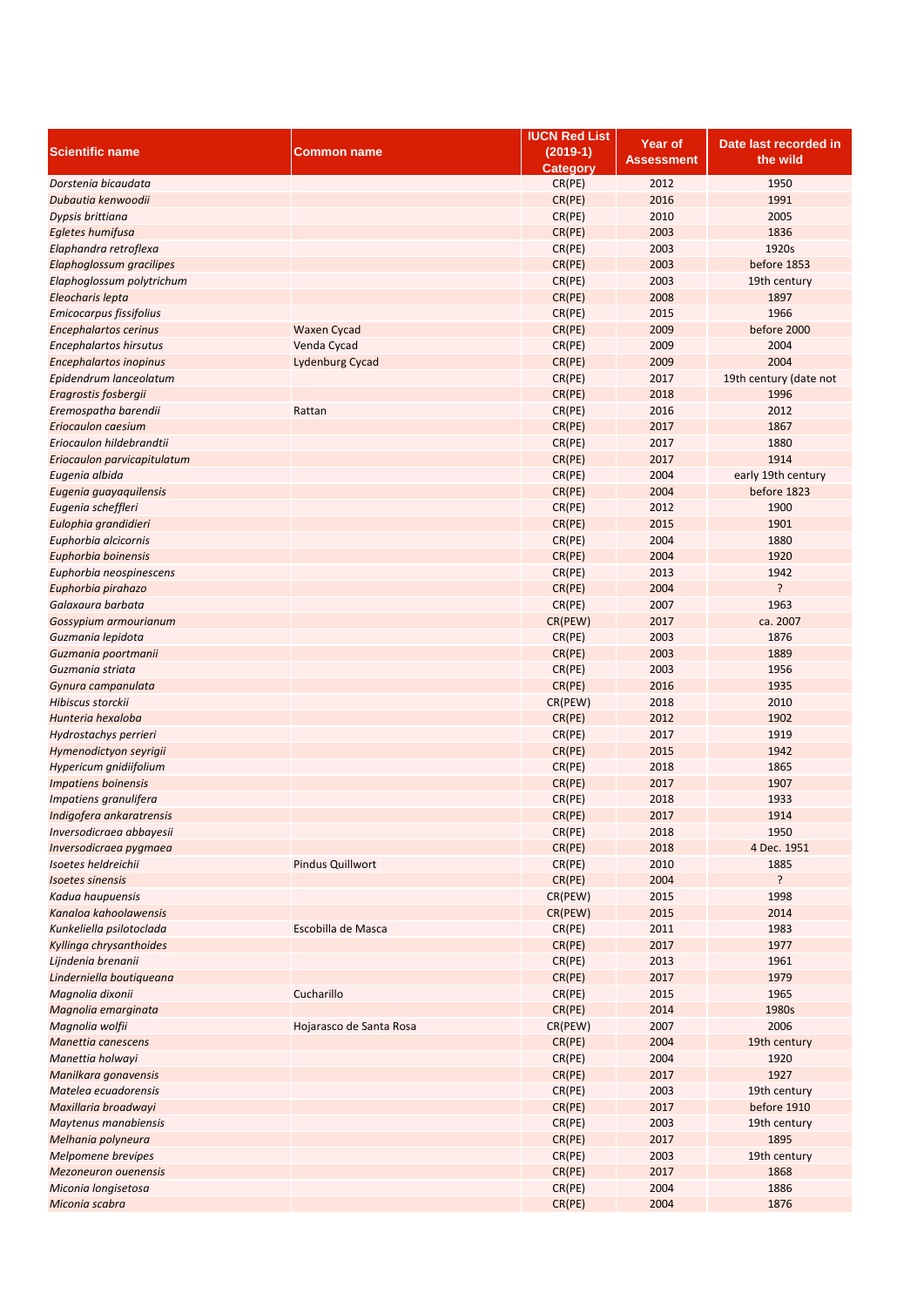|                               |                         | <b>IUCN Red List</b> |                |                        |
|-------------------------------|-------------------------|----------------------|----------------|------------------------|
| <b>Scientific name</b>        | <b>Common name</b>      | $(2019-1)$           | <b>Year of</b> | Date last recorded in  |
|                               |                         | <b>Category</b>      | Assessment     | the wild               |
| Dorstenia bicaudata           |                         | CR(PE)               | 2012           | 1950                   |
| Dubautia kenwoodii            |                         | CR(PE)               | 2016           | 1991                   |
|                               |                         |                      |                |                        |
| Dypsis brittiana              |                         | CR(PE)               | 2010           | 2005                   |
| Egletes humifusa              |                         | CR(PE)               | 2003           | 1836                   |
| Elaphandra retroflexa         |                         | CR(PE)               | 2003           | 1920s                  |
| Elaphoglossum gracilipes      |                         | CR(PE)               | 2003           | before 1853            |
| Elaphoglossum polytrichum     |                         | CR(PE)               | 2003           | 19th century           |
| Eleocharis lepta              |                         | CR(PE)               | 2008           | 1897                   |
| Emicocarpus fissifolius       |                         | CR(PE)               | 2015           | 1966                   |
| <b>Encephalartos cerinus</b>  | <b>Waxen Cycad</b>      | CR(PE)               | 2009           | before 2000            |
| <b>Encephalartos hirsutus</b> | Venda Cycad             | CR(PE)               | 2009           | 2004                   |
|                               |                         |                      | 2009           | 2004                   |
| <b>Encephalartos inopinus</b> | <b>Lydenburg Cycad</b>  | CR(PE)               |                |                        |
| Epidendrum lanceolatum        |                         | CR(PE)               | 2017           | 19th century (date not |
| Eragrostis fosbergii          |                         | CR(PE)               | 2018           | 1996                   |
| Eremospatha barendii          | Rattan                  | CR(PE)               | 2016           | 2012                   |
| Eriocaulon caesium            |                         | CR(PE)               | 2017           | 1867                   |
| Eriocaulon hildebrandtii      |                         | CR(PE)               | 2017           | 1880                   |
| Eriocaulon parvicapitulatum   |                         | CR(PE)               | 2017           | 1914                   |
| Eugenia albida                |                         | CR(PE)               | 2004           | early 19th century     |
| Eugenia guayaquilensis        |                         | CR(PE)               | 2004           | before 1823            |
|                               |                         | CR(PE)               | 2012           | 1900                   |
| Eugenia scheffleri            |                         |                      |                |                        |
| Eulophia grandidieri          |                         | CR(PE)               | 2015           | 1901                   |
| Euphorbia alcicornis          |                         | CR(PE)               | 2004           | 1880                   |
| Euphorbia boinensis           |                         | CR(PE)               | 2004           | 1920                   |
| Euphorbia neospinescens       |                         | CR(PE)               | 2013           | 1942                   |
| Euphorbia pirahazo            |                         | CR(PE)               | 2004           | ?                      |
| Galaxaura barbata             |                         | CR(PE)               | 2007           | 1963                   |
| Gossypium armourianum         |                         | CR(PEW)              | 2017           | ca. 2007               |
| Guzmania lepidota             |                         | CR(PE)               | 2003           | 1876                   |
| Guzmania poortmanii           |                         | CR(PE)               | 2003           | 1889                   |
| Guzmania striata              |                         | CR(PE)               | 2003           | 1956                   |
|                               |                         |                      |                |                        |
| Gynura campanulata            |                         | CR(PE)               | 2016           | 1935                   |
| Hibiscus storckii             |                         | CR(PEW)              | 2018           | 2010                   |
| Hunteria hexaloba             |                         | CR(PE)               | 2012           | 1902                   |
| Hydrostachys perrieri         |                         | CR(PE)               | 2017           | 1919                   |
| Hymenodictyon seyrigii        |                         | CR(PE)               | 2015           | 1942                   |
| Hypericum gnidiifolium        |                         | CR(PE)               | 2018           | 1865                   |
| <b>Impatiens boinensis</b>    |                         | CR(PE)               | 2017           | 1907                   |
| Impatiens granulifera         |                         | CR(PE)               | 2018           | 1933                   |
| Indigofera ankaratrensis      |                         | CR(PE)               | 2017           | 1914                   |
| Inversodicraea abbayesii      |                         | CR(PE)               | 2018           | 1950                   |
| Inversodicraea pygmaea        |                         | CR(PE)               | 2018           | 4 Dec. 1951            |
|                               |                         |                      |                | 1885                   |
| Isoetes heldreichii           | <b>Pindus Quillwort</b> | CR(PE)               | 2010           |                        |
| <b>Isoetes sinensis</b>       |                         | CR(PE)               | 2004           | ŗ                      |
| Kadua haupuensis              |                         | CR(PEW)              | 2015           | 1998                   |
| Kanaloa kahoolawensis         |                         | CR(PEW)              | 2015           | 2014                   |
| Kunkeliella psilotoclada      | Escobilla de Masca      | CR(PE)               | 2011           | 1983                   |
| Kyllinga chrysanthoides       |                         | CR(PE)               | 2017           | 1977                   |
| Lijndenia brenanii            |                         | CR(PE)               | 2013           | 1961                   |
| Linderniella boutiqueana      |                         | CR(PE)               | 2017           | 1979                   |
| Magnolia dixonii              | Cucharillo              | CR(PE)               | 2015           | 1965                   |
| Magnolia emarginata           |                         | CR(PE)               | 2014           | 1980s                  |
| Magnolia wolfii               | Hojarasco de Santa Rosa | CR(PEW)              | 2007           | 2006                   |
| Manettia canescens            |                         | CR(PE)               | 2004           | 19th century           |
|                               |                         |                      |                |                        |
| Manettia holwayi              |                         | CR(PE)               | 2004           | 1920                   |
| Manilkara gonavensis          |                         | CR(PE)               | 2017           | 1927                   |
| Matelea ecuadorensis          |                         | CR(PE)               | 2003           | 19th century           |
| Maxillaria broadwayi          |                         | CR(PE)               | 2017           | before 1910            |
| Maytenus manabiensis          |                         | CR(PE)               | 2003           | 19th century           |
| Melhania polyneura            |                         | CR(PE)               | 2017           | 1895                   |
| Melpomene brevipes            |                         | CR(PE)               | 2003           | 19th century           |
| <b>Mezoneuron ouenensis</b>   |                         | CR(PE)               | 2017           | 1868                   |
| Miconia longisetosa           |                         | CR(PE)               | 2004           | 1886                   |
| Miconia scabra                |                         | CR(PE)               | 2004           | 1876                   |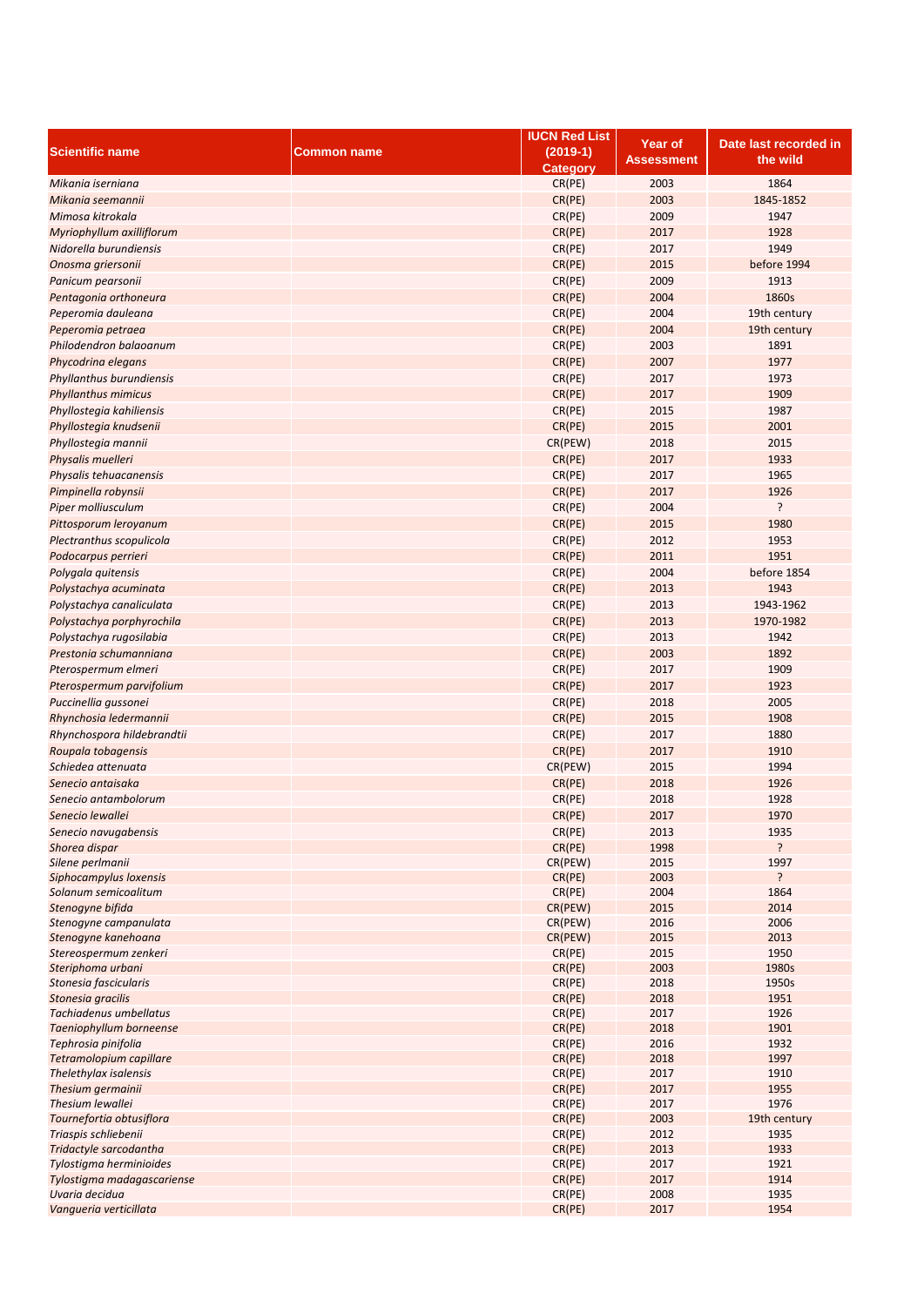|                            |                    | <b>IUCN Red List</b> | Year of    | Date last recorded in |
|----------------------------|--------------------|----------------------|------------|-----------------------|
| <b>Scientific name</b>     | <b>Common name</b> | $(2019-1)$           |            | the wild              |
|                            |                    | <b>Category</b>      | Assessment |                       |
| Mikania iserniana          |                    | CR(PE)               | 2003       | 1864                  |
| Mikania seemannii          |                    | CR(PE)               | 2003       | 1845-1852             |
| Mimosa kitrokala           |                    | CR(PE)               | 2009       | 1947                  |
| Myriophyllum axilliflorum  |                    | CR(PE)               | 2017       | 1928                  |
| Nidorella burundiensis     |                    | CR(PE)               | 2017       | 1949                  |
| Onosma griersonii          |                    | CR(PE)               | 2015       | before 1994           |
|                            |                    |                      |            |                       |
| Panicum pearsonii          |                    | CR(PE)               | 2009       | 1913                  |
| Pentagonia orthoneura      |                    | CR(PE)               | 2004       | 1860s                 |
| Peperomia dauleana         |                    | CR(PE)               | 2004       | 19th century          |
| Peperomia petraea          |                    | CR(PE)               | 2004       | 19th century          |
| Philodendron balaoanum     |                    | CR(PE)               | 2003       | 1891                  |
| Phycodrina elegans         |                    | CR(PE)               | 2007       | 1977                  |
| Phyllanthus burundiensis   |                    | CR(PE)               | 2017       | 1973                  |
| <b>Phyllanthus mimicus</b> |                    | CR(PE)               | 2017       | 1909                  |
| Phyllostegia kahiliensis   |                    | CR(PE)               | 2015       | 1987                  |
| Phyllostegia knudsenii     |                    | CR(PE)               | 2015       | 2001                  |
| Phyllostegia mannii        |                    | CR(PEW)              | 2018       | 2015                  |
| Physalis muelleri          |                    | CR(PE)               | 2017       | 1933                  |
| Physalis tehuacanensis     |                    | CR(PE)               | 2017       | 1965                  |
| Pimpinella robynsii        |                    | CR(PE)               | 2017       | 1926                  |
| Piper molliusculum         |                    | CR(PE)               | 2004       | ŗ                     |
| Pittosporum leroyanum      |                    | CR(PE)               | 2015       | 1980                  |
| Plectranthus scopulicola   |                    | CR(PE)               | 2012       | 1953                  |
| Podocarpus perrieri        |                    | CR(PE)               | 2011       | 1951                  |
|                            |                    |                      | 2004       | before 1854           |
| Polygala quitensis         |                    | CR(PE)               |            |                       |
| Polystachya acuminata      |                    | CR(PE)               | 2013       | 1943                  |
| Polystachya canaliculata   |                    | CR(PE)               | 2013       | 1943-1962             |
| Polystachya porphyrochila  |                    | CR(PE)               | 2013       | 1970-1982             |
| Polystachya rugosilabia    |                    | CR(PE)               | 2013       | 1942                  |
| Prestonia schumanniana     |                    | CR(PE)               | 2003       | 1892                  |
| Pterospermum elmeri        |                    | CR(PE)               | 2017       | 1909                  |
| Pterospermum parvifolium   |                    | CR(PE)               | 2017       | 1923                  |
| Puccinellia gussonei       |                    | CR(PE)               | 2018       | 2005                  |
| Rhynchosia ledermannii     |                    | CR(PE)               | 2015       | 1908                  |
| Rhynchospora hildebrandtii |                    | CR(PE)               | 2017       | 1880                  |
| Roupala tobagensis         |                    | CR(PE)               | 2017       | 1910                  |
| Schiedea attenuata         |                    | CR(PEW)              | 2015       | 1994                  |
| Senecio antaisaka          |                    | CR(PE)               | 2018       | 1926                  |
| Senecio antambolorum       |                    | CR(PE)               | 2018       | 1928                  |
| Senecio lewallei           |                    | CR(PE)               | 2017       | 1970                  |
| Senecio navugabensis       |                    | CR(PE)               | 2013       | 1935                  |
| Shorea dispar              |                    | CR(PE)               | 1998       | ?                     |
| Silene perlmanii           |                    | CR(PEW)              | 2015       | 1997                  |
| Siphocampylus loxensis     |                    | CR(PE)               | 2003       | ?                     |
| Solanum semicoalitum       |                    | CR(PE)               | 2004       | 1864                  |
| Stenogyne bifida           |                    | CR(PEW)              | 2015       | 2014                  |
| Stenogyne campanulata      |                    | CR(PEW)              | 2016       | 2006                  |
| Stenogyne kanehoana        |                    | CR(PEW)              | 2015       | 2013                  |
| Stereospermum zenkeri      |                    | CR(PE)               | 2015       | 1950                  |
| Steriphoma urbani          |                    | CR(PE)               | 2003       | 1980s                 |
| Stonesia fascicularis      |                    | CR(PE)               | 2018       | 1950s                 |
| Stonesia gracilis          |                    | CR(PE)               | 2018       | 1951                  |
| Tachiadenus umbellatus     |                    | CR(PE)               | 2017       | 1926                  |
| Taeniophyllum borneense    |                    | CR(PE)               | 2018       | 1901                  |
| Tephrosia pinifolia        |                    | CR(PE)               | 2016       | 1932                  |
| Tetramolopium capillare    |                    | CR(PE)               | 2018       | 1997                  |
| Thelethylax isalensis      |                    | CR(PE)               | 2017       | 1910                  |
| Thesium germainii          |                    | CR(PE)               | 2017       | 1955                  |
| Thesium lewallei           |                    | CR(PE)               | 2017       | 1976                  |
| Tournefortia obtusiflora   |                    | CR(PE)               | 2003       | 19th century          |
| Triaspis schliebenii       |                    | CR(PE)               | 2012       | 1935                  |
| Tridactyle sarcodantha     |                    | CR(PE)               | 2013       | 1933                  |
| Tylostigma herminioides    |                    | CR(PE)               | 2017       | 1921                  |
| Tylostigma madagascariense |                    | CR(PE)               | 2017       | 1914                  |
| Uvaria decidua             |                    | CR(PE)               | 2008       | 1935                  |
| Vangueria verticillata     |                    | CR(PE)               | 2017       | 1954                  |